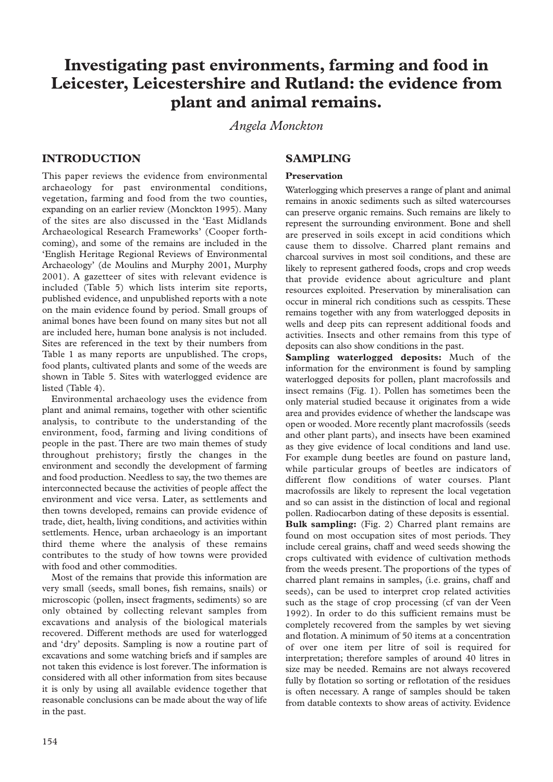# **Investigating past environments, farming and food in Leicester, Leicestershire and Rutland: the evidence from plant and animal remains.**

*Angela Monckton* 

# **INTRODUCTION**

This paper reviews the evidence from environmental archaeology for past environmental conditions, vegetation, farming and food from the two counties, expanding on an earlier review (Monckton 1995). Many of the sites are also discussed in the 'East Midlands Archaeological Research Frameworks' (Cooper forthcoming), and some of the remains are included in the 'English Heritage Regional Reviews of Environmental Archaeology' (de Moulins and Murphy 2001, Murphy 2001). A gazetteer of sites with relevant evidence is included (Table 5) which lists interim site reports, published evidence, and unpublished reports with a note on the main evidence found by period. Small groups of animal bones have been found on many sites but not all are included here, human bone analysis is not included. Sites are referenced in the text by their numbers from Table 1 as many reports are unpublished. The crops, food plants, cultivated plants and some of the weeds are shown in Table 5. Sites with waterlogged evidence are listed (Table 4).

Environmental archaeology uses the evidence from plant and animal remains, together with other scientific analysis, to contribute to the understanding of the environment, food, farming and living conditions of people in the past. There are two main themes of study throughout prehistory; firstly the changes in the environment and secondly the development of farming and food production. Needless to say, the two themes are interconnected because the activities of people affect the environment and vice versa. Later, as settlements and then towns developed, remains can provide evidence of trade, diet, health, living conditions, and activities within settlements. Hence, urban archaeology is an important third theme where the analysis of these remains contributes to the study of how towns were provided with food and other commodities.

Most of the remains that provide this information are very small (seeds, small bones, fish remains, snails) or microscopic (pollen, insect fragments, sediments) so are only obtained by collecting relevant samples from excavations and analysis of the biological materials recovered. Different methods are used for waterlogged and 'dry' deposits. Sampling is now a routine part of excavations and some watching briefs and if samples are not taken this evidence is lost forever.The information is considered with all other information from sites because it is only by using all available evidence together that reasonable conclusions can be made about the way of life in the past.

# **SAMPLING**

# **Preservation**

Waterlogging which preserves a range of plant and animal remains in anoxic sediments such as silted watercourses can preserve organic remains. Such remains are likely to represent the surrounding environment. Bone and shell are preserved in soils except in acid conditions which cause them to dissolve. Charred plant remains and charcoal survives in most soil conditions, and these are likely to represent gathered foods, crops and crop weeds that provide evidence about agriculture and plant resources exploited. Preservation by mineralisation can occur in mineral rich conditions such as cesspits. These remains together with any from waterlogged deposits in wells and deep pits can represent additional foods and activities. Insects and other remains from this type of deposits can also show conditions in the past.

**Sampling waterlogged deposits:** Much of the information for the environment is found by sampling waterlogged deposits for pollen, plant macrofossils and insect remains (Fig. 1). Pollen has sometimes been the only material studied because it originates from a wide area and provides evidence of whether the landscape was open or wooded. More recently plant macrofossils (seeds and other plant parts), and insects have been examined as they give evidence of local conditions and land use. For example dung beetles are found on pasture land, while particular groups of beetles are indicators of different flow conditions of water courses. Plant macrofossils are likely to represent the local vegetation and so can assist in the distinction of local and regional pollen. Radiocarbon dating of these deposits is essential. **Bulk sampling:** (Fig. 2) Charred plant remains are found on most occupation sites of most periods. They include cereal grains, chaff and weed seeds showing the crops cultivated with evidence of cultivation methods from the weeds present. The proportions of the types of charred plant remains in samples, (i.e. grains, chaff and seeds), can be used to interpret crop related activities such as the stage of crop processing (cf van der Veen 1992). In order to do this sufficient remains must be completely recovered from the samples by wet sieving and flotation. A minimum of 50 items at a concentration of over one item per litre of soil is required for interpretation; therefore samples of around 40 litres in size may be needed. Remains are not always recovered fully by flotation so sorting or reflotation of the residues is often necessary. A range of samples should be taken from datable contexts to show areas of activity. Evidence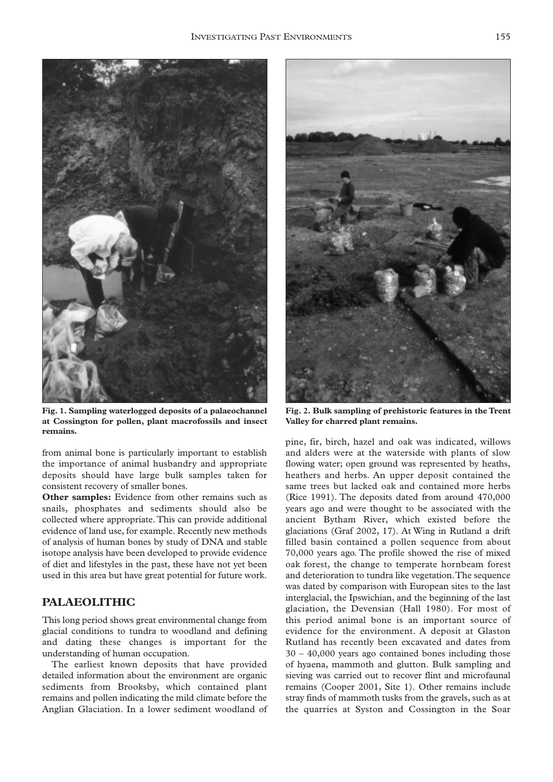

**Fig. 1. Sampling waterlogged deposits of a palaeochannel at Cossington for pollen, plant macrofossils and insect remains.**

from animal bone is particularly important to establish the importance of animal husbandry and appropriate deposits should have large bulk samples taken for consistent recovery of smaller bones.

**Other samples:** Evidence from other remains such as snails, phosphates and sediments should also be collected where appropriate.This can provide additional evidence of land use, for example. Recently new methods of analysis of human bones by study of DNA and stable isotope analysis have been developed to provide evidence of diet and lifestyles in the past, these have not yet been used in this area but have great potential for future work.

# **PALAEOLITHIC**

This long period shows great environmental change from glacial conditions to tundra to woodland and defining and dating these changes is important for the understanding of human occupation.

The earliest known deposits that have provided detailed information about the environment are organic sediments from Brooksby, which contained plant remains and pollen indicating the mild climate before the Anglian Glaciation. In a lower sediment woodland of



**Fig. 2. Bulk sampling of prehistoric features in the Trent Valley for charred plant remains.**

pine, fir, birch, hazel and oak was indicated, willows and alders were at the waterside with plants of slow flowing water; open ground was represented by heaths, heathers and herbs. An upper deposit contained the same trees but lacked oak and contained more herbs (Rice 1991). The deposits dated from around 470,000 years ago and were thought to be associated with the ancient Bytham River, which existed before the glaciations (Graf 2002, 17). At Wing in Rutland a drift filled basin contained a pollen sequence from about 70,000 years ago. The profile showed the rise of mixed oak forest, the change to temperate hornbeam forest and deterioration to tundra like vegetation.The sequence was dated by comparison with European sites to the last interglacial, the Ipswichian, and the beginning of the last glaciation, the Devensian (Hall 1980). For most of this period animal bone is an important source of evidence for the environment. A deposit at Glaston Rutland has recently been excavated and dates from 30 – 40,000 years ago contained bones including those of hyaena, mammoth and glutton. Bulk sampling and sieving was carried out to recover flint and microfaunal remains (Cooper 2001, Site 1). Other remains include stray finds of mammoth tusks from the gravels, such as at the quarries at Syston and Cossington in the Soar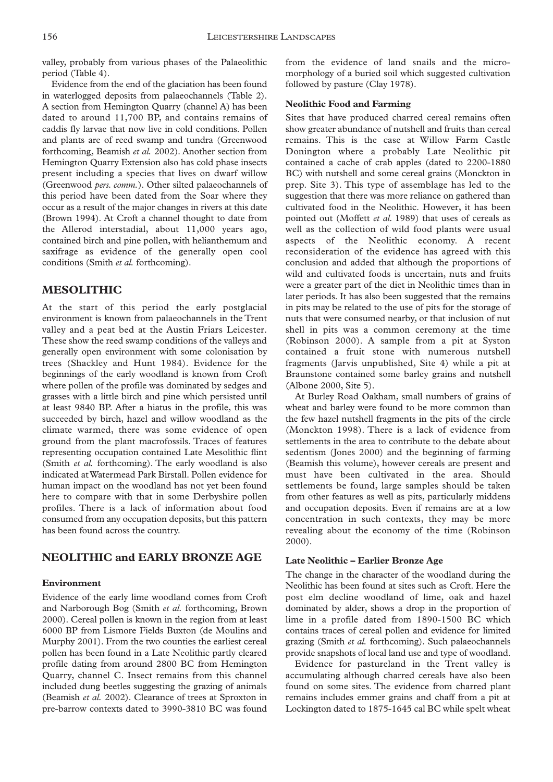valley, probably from various phases of the Palaeolithic period (Table 4).

Evidence from the end of the glaciation has been found in waterlogged deposits from palaeochannels (Table 2). A section from Hemington Quarry (channel A) has been dated to around 11,700 BP, and contains remains of caddis fly larvae that now live in cold conditions. Pollen and plants are of reed swamp and tundra (Greenwood forthcoming, Beamish *et al.* 2002). Another section from Hemington Quarry Extension also has cold phase insects present including a species that lives on dwarf willow (Greenwood *pers. comm.*). Other silted palaeochannels of this period have been dated from the Soar where they occur as a result of the major changes in rivers at this date (Brown 1994). At Croft a channel thought to date from the Allerod interstadial, about 11,000 years ago, contained birch and pine pollen, with helianthemum and saxifrage as evidence of the generally open cool conditions (Smith *et al.* forthcoming).

# **MESOLITHIC**

At the start of this period the early postglacial environment is known from palaeochannels in the Trent valley and a peat bed at the Austin Friars Leicester. These show the reed swamp conditions of the valleys and generally open environment with some colonisation by trees (Shackley and Hunt 1984). Evidence for the beginnings of the early woodland is known from Croft where pollen of the profile was dominated by sedges and grasses with a little birch and pine which persisted until at least 9840 BP. After a hiatus in the profile, this was succeeded by birch, hazel and willow woodland as the climate warmed, there was some evidence of open ground from the plant macrofossils. Traces of features representing occupation contained Late Mesolithic flint (Smith *et al.* forthcoming). The early woodland is also indicated at Watermead Park Birstall. Pollen evidence for human impact on the woodland has not yet been found here to compare with that in some Derbyshire pollen profiles. There is a lack of information about food consumed from any occupation deposits, but this pattern has been found across the country.

# **NEOLITHIC and EARLY BRONZE AGE**

### **Environment**

Evidence of the early lime woodland comes from Croft and Narborough Bog (Smith *et al.* forthcoming, Brown 2000). Cereal pollen is known in the region from at least 6000 BP from Lismore Fields Buxton (de Moulins and Murphy 2001). From the two counties the earliest cereal pollen has been found in a Late Neolithic partly cleared profile dating from around 2800 BC from Hemington Quarry, channel C. Insect remains from this channel included dung beetles suggesting the grazing of animals (Beamish *et al.* 2002). Clearance of trees at Sproxton in pre-barrow contexts dated to 3990-3810 BC was found

from the evidence of land snails and the micromorphology of a buried soil which suggested cultivation followed by pasture (Clay 1978).

### **Neolithic Food and Farming**

Sites that have produced charred cereal remains often show greater abundance of nutshell and fruits than cereal remains. This is the case at Willow Farm Castle Donington where a probably Late Neolithic pit contained a cache of crab apples (dated to 2200-1880 BC) with nutshell and some cereal grains (Monckton in prep. Site 3). This type of assemblage has led to the suggestion that there was more reliance on gathered than cultivated food in the Neolithic. However, it has been pointed out (Moffett *et al.* 1989) that uses of cereals as well as the collection of wild food plants were usual aspects of the Neolithic economy. A recent reconsideration of the evidence has agreed with this conclusion and added that although the proportions of wild and cultivated foods is uncertain, nuts and fruits were a greater part of the diet in Neolithic times than in later periods. It has also been suggested that the remains in pits may be related to the use of pits for the storage of nuts that were consumed nearby, or that inclusion of nut shell in pits was a common ceremony at the time (Robinson 2000). A sample from a pit at Syston contained a fruit stone with numerous nutshell fragments (Jarvis unpublished, Site 4) while a pit at Braunstone contained some barley grains and nutshell (Albone 2000, Site 5).

At Burley Road Oakham, small numbers of grains of wheat and barley were found to be more common than the few hazel nutshell fragments in the pits of the circle (Monckton 1998). There is a lack of evidence from settlements in the area to contribute to the debate about sedentism (Jones 2000) and the beginning of farming (Beamish this volume), however cereals are present and must have been cultivated in the area. Should settlements be found, large samples should be taken from other features as well as pits, particularly middens and occupation deposits. Even if remains are at a low concentration in such contexts, they may be more revealing about the economy of the time (Robinson 2000).

### **Late Neolithic – Earlier Bronze Age**

The change in the character of the woodland during the Neolithic has been found at sites such as Croft. Here the post elm decline woodland of lime, oak and hazel dominated by alder, shows a drop in the proportion of lime in a profile dated from 1890-1500 BC which contains traces of cereal pollen and evidence for limited grazing (Smith *et al.* forthcoming). Such palaeochannels provide snapshots of local land use and type of woodland.

Evidence for pastureland in the Trent valley is accumulating although charred cereals have also been found on some sites. The evidence from charred plant remains includes emmer grains and chaff from a pit at Lockington dated to 1875-1645 cal BC while spelt wheat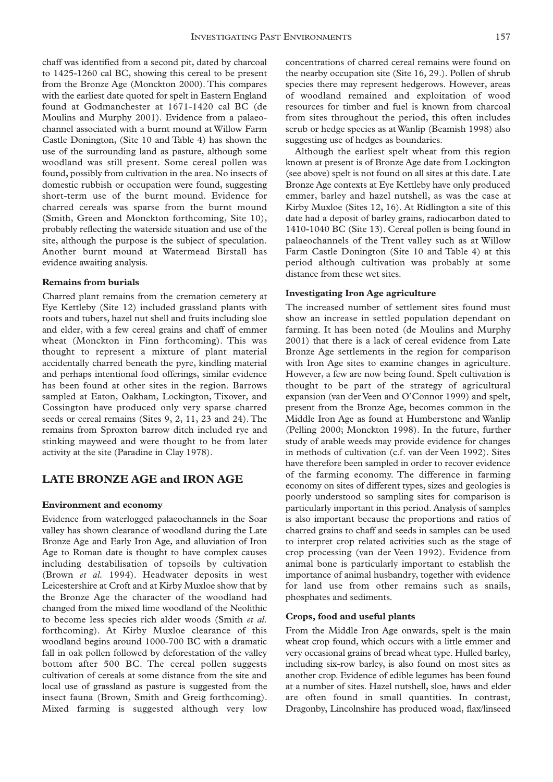chaff was identified from a second pit, dated by charcoal to 1425-1260 cal BC, showing this cereal to be present from the Bronze Age (Monckton 2000). This compares with the earliest date quoted for spelt in Eastern England found at Godmanchester at 1671-1420 cal BC (de Moulins and Murphy 2001). Evidence from a palaeochannel associated with a burnt mound at Willow Farm Castle Donington, (Site 10 and Table 4) has shown the use of the surrounding land as pasture, although some woodland was still present. Some cereal pollen was found, possibly from cultivation in the area. No insects of domestic rubbish or occupation were found, suggesting short-term use of the burnt mound. Evidence for charred cereals was sparse from the burnt mound (Smith, Green and Monckton forthcoming, Site 10), probably reflecting the waterside situation and use of the site, although the purpose is the subject of speculation. Another burnt mound at Watermead Birstall has evidence awaiting analysis.

#### **Remains from burials**

Charred plant remains from the cremation cemetery at Eye Kettleby (Site 12) included grassland plants with roots and tubers, hazel nut shell and fruits including sloe and elder, with a few cereal grains and chaff of emmer wheat (Monckton in Finn forthcoming). This was thought to represent a mixture of plant material accidentally charred beneath the pyre, kindling material and perhaps intentional food offerings, similar evidence has been found at other sites in the region. Barrows sampled at Eaton, Oakham, Lockington, Tixover, and Cossington have produced only very sparse charred seeds or cereal remains (Sites 9, 2, 11, 23 and 24). The remains from Sproxton barrow ditch included rye and stinking mayweed and were thought to be from later activity at the site (Paradine in Clay 1978).

### **LATE BRONZE AGE and IRON AGE**

#### **Environment and economy**

Evidence from waterlogged palaeochannels in the Soar valley has shown clearance of woodland during the Late Bronze Age and Early Iron Age, and alluviation of Iron Age to Roman date is thought to have complex causes including destabilisation of topsoils by cultivation (Brown *et al.* 1994). Headwater deposits in west Leicestershire at Croft and at Kirby Muxloe show that by the Bronze Age the character of the woodland had changed from the mixed lime woodland of the Neolithic to become less species rich alder woods (Smith *et al.* forthcoming). At Kirby Muxloe clearance of this woodland begins around 1000-700 BC with a dramatic fall in oak pollen followed by deforestation of the valley bottom after 500 BC. The cereal pollen suggests cultivation of cereals at some distance from the site and local use of grassland as pasture is suggested from the insect fauna (Brown, Smith and Greig forthcoming). Mixed farming is suggested although very low concentrations of charred cereal remains were found on the nearby occupation site (Site 16, 29.). Pollen of shrub species there may represent hedgerows. However, areas of woodland remained and exploitation of wood resources for timber and fuel is known from charcoal from sites throughout the period, this often includes scrub or hedge species as at Wanlip (Beamish 1998) also suggesting use of hedges as boundaries.

Although the earliest spelt wheat from this region known at present is of Bronze Age date from Lockington (see above) spelt is not found on all sites at this date. Late Bronze Age contexts at Eye Kettleby have only produced emmer, barley and hazel nutshell, as was the case at Kirby Muxloe (Sites 12, 16). At Ridlington a site of this date had a deposit of barley grains, radiocarbon dated to 1410-1040 BC (Site 13). Cereal pollen is being found in palaeochannels of the Trent valley such as at Willow Farm Castle Donington (Site 10 and Table 4) at this period although cultivation was probably at some distance from these wet sites.

#### **Investigating Iron Age agriculture**

The increased number of settlement sites found must show an increase in settled population dependant on farming. It has been noted (de Moulins and Murphy 2001) that there is a lack of cereal evidence from Late Bronze Age settlements in the region for comparison with Iron Age sites to examine changes in agriculture. However, a few are now being found. Spelt cultivation is thought to be part of the strategy of agricultural expansion (van der Veen and O'Connor 1999) and spelt, present from the Bronze Age, becomes common in the Middle Iron Age as found at Humberstone and Wanlip (Pelling 2000; Monckton 1998). In the future, further study of arable weeds may provide evidence for changes in methods of cultivation (c.f. van der Veen 1992). Sites have therefore been sampled in order to recover evidence of the farming economy. The difference in farming economy on sites of different types, sizes and geologies is poorly understood so sampling sites for comparison is particularly important in this period. Analysis of samples is also important because the proportions and ratios of charred grains to chaff and seeds in samples can be used to interpret crop related activities such as the stage of crop processing (van der Veen 1992). Evidence from animal bone is particularly important to establish the importance of animal husbandry, together with evidence for land use from other remains such as snails, phosphates and sediments.

#### **Crops, food and useful plants**

From the Middle Iron Age onwards, spelt is the main wheat crop found, which occurs with a little emmer and very occasional grains of bread wheat type. Hulled barley, including six-row barley, is also found on most sites as another crop. Evidence of edible legumes has been found at a number of sites. Hazel nutshell, sloe, haws and elder are often found in small quantities. In contrast, Dragonby, Lincolnshire has produced woad, flax/linseed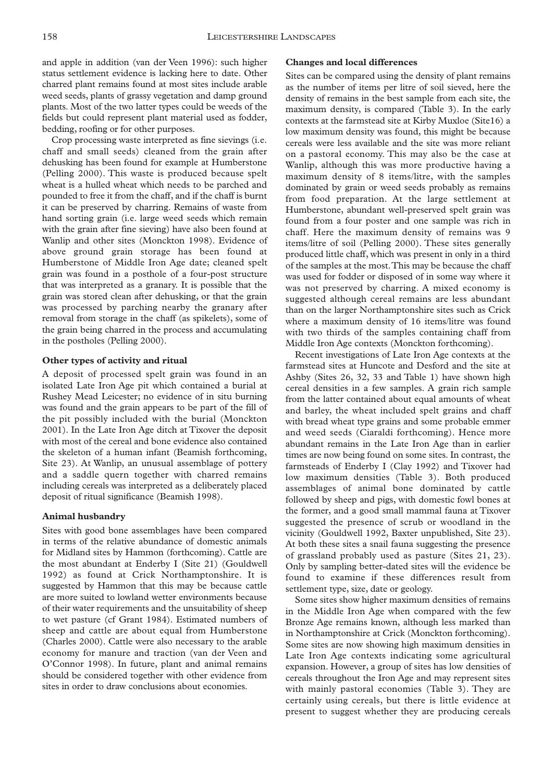and apple in addition (van der Veen 1996): such higher status settlement evidence is lacking here to date. Other charred plant remains found at most sites include arable weed seeds, plants of grassy vegetation and damp ground plants. Most of the two latter types could be weeds of the fields but could represent plant material used as fodder, bedding, roofing or for other purposes.

Crop processing waste interpreted as fine sievings (i.e. chaff and small seeds) cleaned from the grain after dehusking has been found for example at Humberstone (Pelling 2000). This waste is produced because spelt wheat is a hulled wheat which needs to be parched and pounded to free it from the chaff, and if the chaff is burnt it can be preserved by charring. Remains of waste from hand sorting grain (i.e. large weed seeds which remain with the grain after fine sieving) have also been found at Wanlip and other sites (Monckton 1998). Evidence of above ground grain storage has been found at Humberstone of Middle Iron Age date; cleaned spelt grain was found in a posthole of a four-post structure that was interpreted as a granary. It is possible that the grain was stored clean after dehusking, or that the grain was processed by parching nearby the granary after removal from storage in the chaff (as spikelets), some of the grain being charred in the process and accumulating in the postholes (Pelling 2000).

### **Other types of activity and ritual**

A deposit of processed spelt grain was found in an isolated Late Iron Age pit which contained a burial at Rushey Mead Leicester; no evidence of in situ burning was found and the grain appears to be part of the fill of the pit possibly included with the burial (Monckton 2001). In the Late Iron Age ditch at Tixover the deposit with most of the cereal and bone evidence also contained the skeleton of a human infant (Beamish forthcoming, Site 23). At Wanlip, an unusual assemblage of pottery and a saddle quern together with charred remains including cereals was interpreted as a deliberately placed deposit of ritual significance (Beamish 1998).

#### **Animal husbandry**

Sites with good bone assemblages have been compared in terms of the relative abundance of domestic animals for Midland sites by Hammon (forthcoming). Cattle are the most abundant at Enderby I (Site 21) (Gouldwell 1992) as found at Crick Northamptonshire. It is suggested by Hammon that this may be because cattle are more suited to lowland wetter environments because of their water requirements and the unsuitability of sheep to wet pasture (cf Grant 1984). Estimated numbers of sheep and cattle are about equal from Humberstone (Charles 2000). Cattle were also necessary to the arable economy for manure and traction (van der Veen and O'Connor 1998). In future, plant and animal remains should be considered together with other evidence from sites in order to draw conclusions about economies.

#### **Changes and local differences**

Sites can be compared using the density of plant remains as the number of items per litre of soil sieved, here the density of remains in the best sample from each site, the maximum density, is compared (Table 3). In the early contexts at the farmstead site at Kirby Muxloe (Site16) a low maximum density was found, this might be because cereals were less available and the site was more reliant on a pastoral economy. This may also be the case at Wanlip, although this was more productive having a maximum density of 8 items/litre, with the samples dominated by grain or weed seeds probably as remains from food preparation. At the large settlement at Humberstone, abundant well-preserved spelt grain was found from a four poster and one sample was rich in chaff. Here the maximum density of remains was 9 items/litre of soil (Pelling 2000). These sites generally produced little chaff, which was present in only in a third of the samples at the most.This may be because the chaff was used for fodder or disposed of in some way where it was not preserved by charring. A mixed economy is suggested although cereal remains are less abundant than on the larger Northamptonshire sites such as Crick where a maximum density of 16 items/litre was found with two thirds of the samples containing chaff from Middle Iron Age contexts (Monckton forthcoming).

Recent investigations of Late Iron Age contexts at the farmstead sites at Huncote and Desford and the site at Ashby (Sites 26, 32, 33 and Table 1) have shown high cereal densities in a few samples. A grain rich sample from the latter contained about equal amounts of wheat and barley, the wheat included spelt grains and chaff with bread wheat type grains and some probable emmer and weed seeds (Ciaraldi forthcoming). Hence more abundant remains in the Late Iron Age than in earlier times are now being found on some sites. In contrast, the farmsteads of Enderby I (Clay 1992) and Tixover had low maximum densities (Table 3). Both produced assemblages of animal bone dominated by cattle followed by sheep and pigs, with domestic fowl bones at the former, and a good small mammal fauna at Tixover suggested the presence of scrub or woodland in the vicinity (Gouldwell 1992, Baxter unpublished, Site 23). At both these sites a snail fauna suggesting the presence of grassland probably used as pasture (Sites 21, 23). Only by sampling better-dated sites will the evidence be found to examine if these differences result from settlement type, size, date or geology.

Some sites show higher maximum densities of remains in the Middle Iron Age when compared with the few Bronze Age remains known, although less marked than in Northamptonshire at Crick (Monckton forthcoming). Some sites are now showing high maximum densities in Late Iron Age contexts indicating some agricultural expansion. However, a group of sites has low densities of cereals throughout the Iron Age and may represent sites with mainly pastoral economies (Table 3). They are certainly using cereals, but there is little evidence at present to suggest whether they are producing cereals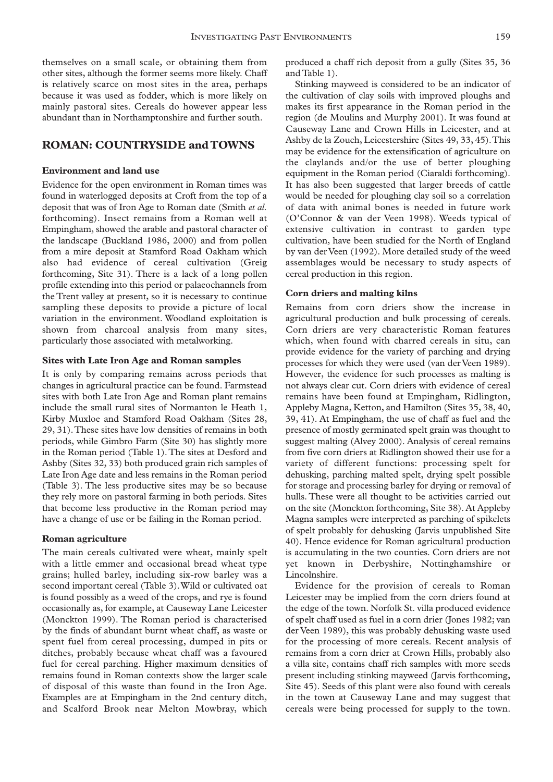themselves on a small scale, or obtaining them from other sites, although the former seems more likely. Chaff is relatively scarce on most sites in the area, perhaps because it was used as fodder, which is more likely on mainly pastoral sites. Cereals do however appear less abundant than in Northamptonshire and further south.

### **ROMAN: COUNTRYSIDE and TOWNS**

#### **Environment and land use**

Evidence for the open environment in Roman times was found in waterlogged deposits at Croft from the top of a deposit that was of Iron Age to Roman date (Smith *et al.* forthcoming). Insect remains from a Roman well at Empingham, showed the arable and pastoral character of the landscape (Buckland 1986, 2000) and from pollen from a mire deposit at Stamford Road Oakham which also had evidence of cereal cultivation (Greig forthcoming, Site 31). There is a lack of a long pollen profile extending into this period or palaeochannels from the Trent valley at present, so it is necessary to continue sampling these deposits to provide a picture of local variation in the environment. Woodland exploitation is shown from charcoal analysis from many sites, particularly those associated with metalworking.

#### **Sites with Late Iron Age and Roman samples**

It is only by comparing remains across periods that changes in agricultural practice can be found. Farmstead sites with both Late Iron Age and Roman plant remains include the small rural sites of Normanton le Heath 1, Kirby Muxloe and Stamford Road Oakham (Sites 28, 29, 31).These sites have low densities of remains in both periods, while Gimbro Farm (Site 30) has slightly more in the Roman period (Table 1).The sites at Desford and Ashby (Sites 32, 33) both produced grain rich samples of Late Iron Age date and less remains in the Roman period (Table 3). The less productive sites may be so because they rely more on pastoral farming in both periods. Sites that become less productive in the Roman period may have a change of use or be failing in the Roman period.

#### **Roman agriculture**

The main cereals cultivated were wheat, mainly spelt with a little emmer and occasional bread wheat type grains; hulled barley, including six-row barley was a second important cereal (Table 3).Wild or cultivated oat is found possibly as a weed of the crops, and rye is found occasionally as, for example, at Causeway Lane Leicester (Monckton 1999). The Roman period is characterised by the finds of abundant burnt wheat chaff, as waste or spent fuel from cereal processing, dumped in pits or ditches, probably because wheat chaff was a favoured fuel for cereal parching. Higher maximum densities of remains found in Roman contexts show the larger scale of disposal of this waste than found in the Iron Age. Examples are at Empingham in the 2nd century ditch, and Scalford Brook near Melton Mowbray, which

produced a chaff rich deposit from a gully (Sites 35, 36 and Table 1).

Stinking mayweed is considered to be an indicator of the cultivation of clay soils with improved ploughs and makes its first appearance in the Roman period in the region (de Moulins and Murphy 2001). It was found at Causeway Lane and Crown Hills in Leicester, and at Ashby de la Zouch, Leicestershire (Sites 49, 33, 45).This may be evidence for the extensification of agriculture on the claylands and/or the use of better ploughing equipment in the Roman period (Ciaraldi forthcoming). It has also been suggested that larger breeds of cattle would be needed for ploughing clay soil so a correlation of data with animal bones is needed in future work (O'Connor & van der Veen 1998). Weeds typical of extensive cultivation in contrast to garden type cultivation, have been studied for the North of England by van der Veen (1992). More detailed study of the weed assemblages would be necessary to study aspects of cereal production in this region.

#### **Corn driers and malting kilns**

Remains from corn driers show the increase in agricultural production and bulk processing of cereals. Corn driers are very characteristic Roman features which, when found with charred cereals in situ, can provide evidence for the variety of parching and drying processes for which they were used (van der Veen 1989). However, the evidence for such processes as malting is not always clear cut. Corn driers with evidence of cereal remains have been found at Empingham, Ridlington, Appleby Magna, Ketton, and Hamilton (Sites 35, 38, 40, 39, 41). At Empingham, the use of chaff as fuel and the presence of mostly germinated spelt grain was thought to suggest malting (Alvey 2000). Analysis of cereal remains from five corn driers at Ridlington showed their use for a variety of different functions: processing spelt for dehusking, parching malted spelt, drying spelt possible for storage and processing barley for drying or removal of hulls. These were all thought to be activities carried out on the site (Monckton forthcoming, Site 38). At Appleby Magna samples were interpreted as parching of spikelets of spelt probably for dehusking (Jarvis unpublished Site 40). Hence evidence for Roman agricultural production is accumulating in the two counties. Corn driers are not yet known in Derbyshire, Nottinghamshire or Lincolnshire.

Evidence for the provision of cereals to Roman Leicester may be implied from the corn driers found at the edge of the town. Norfolk St. villa produced evidence of spelt chaff used as fuel in a corn drier (Jones 1982; van der Veen 1989), this was probably dehusking waste used for the processing of more cereals. Recent analysis of remains from a corn drier at Crown Hills, probably also a villa site, contains chaff rich samples with more seeds present including stinking mayweed (Jarvis forthcoming, Site 45). Seeds of this plant were also found with cereals in the town at Causeway Lane and may suggest that cereals were being processed for supply to the town.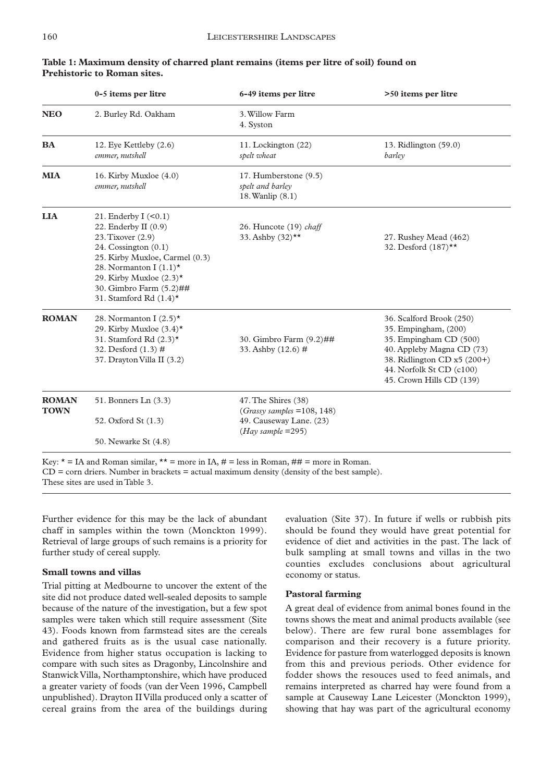|              | 0-5 items per litre                                | 6-49 items per litre                             | >50 items per litre         |
|--------------|----------------------------------------------------|--------------------------------------------------|-----------------------------|
| <b>NEO</b>   | 2. Burley Rd. Oakham                               | 3. Willow Farm                                   |                             |
|              |                                                    | 4. Syston                                        |                             |
| <b>BA</b>    | 12. Eye Kettleby (2.6)                             | 11. Lockington (22)                              | 13. Ridlington (59.0)       |
|              | emmer, nutshell                                    | spelt wheat                                      | barley                      |
| <b>MIA</b>   | 16. Kirby Muxloe $(4.0)$                           | 17. Humberstone (9.5)                            |                             |
|              | emmer, nutshell                                    | spelt and barley<br>18. Wanlip (8.1)             |                             |
|              |                                                    |                                                  |                             |
| <b>LIA</b>   | 21. Enderby $I \leq 0.1$<br>22. Enderby II $(0.9)$ | 26. Huncote (19) chaff                           |                             |
|              | 23. Tixover (2.9)                                  | 33. Ashby (32)**                                 | 27. Rushey Mead (462)       |
|              | 24. Cossington $(0.1)$                             |                                                  | 32. Desford (187)**         |
|              | 25. Kirby Muxloe, Carmel (0.3)                     |                                                  |                             |
|              | 28. Normanton I $(1.1)^*$                          |                                                  |                             |
|              | 29. Kirby Muxloe $(2.3)^*$                         |                                                  |                             |
|              | 30. Gimbro Farm (5.2)##                            |                                                  |                             |
|              | 31. Stamford Rd $(1.4)^*$                          |                                                  |                             |
| <b>ROMAN</b> | 28. Normanton I $(2.5)^*$                          |                                                  | 36. Scalford Brook (250)    |
|              | 29. Kirby Muxloe $(3.4)$ *                         |                                                  | 35. Empingham, (200)        |
|              | 31. Stamford Rd $(2.3)$ *                          | 30. Gimbro Farm (9.2)##                          | 35. Empingham CD (500)      |
|              | 32. Desford (1.3) #                                | 33. Ashby (12.6) #                               | 40. Appleby Magna CD (73)   |
|              | 37. Drayton Villa II (3.2)                         |                                                  | 38. Ridlington CD x5 (200+) |
|              |                                                    |                                                  | 44. Norfolk St CD (c100)    |
|              |                                                    |                                                  | 45. Crown Hills CD (139)    |
| <b>ROMAN</b> | 51. Bonners Ln (3.3)                               | 47. The Shires (38)                              |                             |
| <b>TOWN</b>  |                                                    | $(Grassy \, samples = 108, 148)$                 |                             |
|              | 52. Oxford St (1.3)                                | 49. Causeway Lane. (23)<br>$(Hay\ sample = 295)$ |                             |
|              | 50. Newarke St (4.8)                               |                                                  |                             |

### **Table 1: Maximum density of charred plant remains (items per litre of soil) found on Prehistoric to Roman sites.**

CD = corn driers. Number in brackets = actual maximum density (density of the best sample). These sites are used in Table 3.

Further evidence for this may be the lack of abundant chaff in samples within the town (Monckton 1999). Retrieval of large groups of such remains is a priority for further study of cereal supply.

### **Small towns and villas**

Trial pitting at Medbourne to uncover the extent of the site did not produce dated well-sealed deposits to sample because of the nature of the investigation, but a few spot samples were taken which still require assessment (Site 43). Foods known from farmstead sites are the cereals and gathered fruits as is the usual case nationally. Evidence from higher status occupation is lacking to compare with such sites as Dragonby, Lincolnshire and Stanwick Villa, Northamptonshire, which have produced a greater variety of foods (van der Veen 1996, Campbell unpublished). Drayton II Villa produced only a scatter of cereal grains from the area of the buildings during evaluation (Site 37). In future if wells or rubbish pits should be found they would have great potential for evidence of diet and activities in the past. The lack of bulk sampling at small towns and villas in the two counties excludes conclusions about agricultural economy or status.

### **Pastoral farming**

A great deal of evidence from animal bones found in the towns shows the meat and animal products available (see below). There are few rural bone assemblages for comparison and their recovery is a future priority. Evidence for pasture from waterlogged deposits is known from this and previous periods. Other evidence for fodder shows the resouces used to feed animals, and remains interpreted as charred hay were found from a sample at Causeway Lane Leicester (Monckton 1999), showing that hay was part of the agricultural economy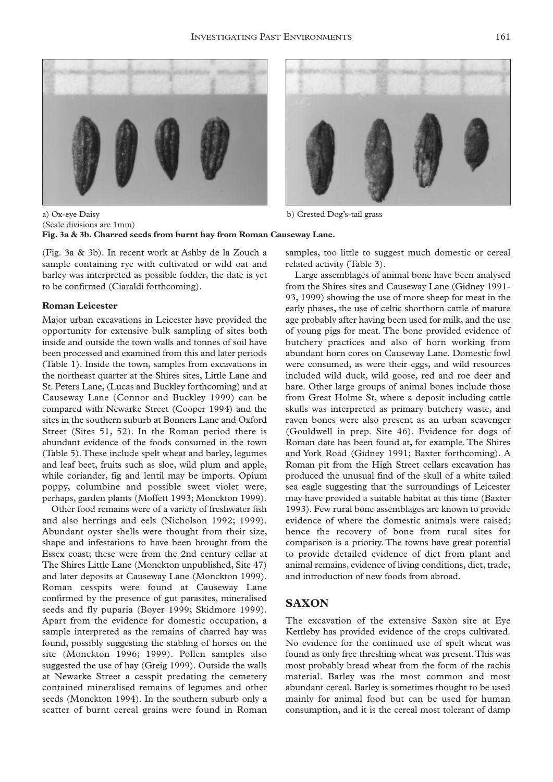



a) Ox-eye Daisy b) Crested Dog's-tail grass (Scale divisions are 1mm) **Fig. 3a & 3b. Charred seeds from burnt hay from Roman Causeway Lane.**

(Fig. 3a & 3b). In recent work at Ashby de la Zouch a sample containing rye with cultivated or wild oat and barley was interpreted as possible fodder, the date is yet to be confirmed (Ciaraldi forthcoming).

#### **Roman Leicester**

Major urban excavations in Leicester have provided the opportunity for extensive bulk sampling of sites both inside and outside the town walls and tonnes of soil have been processed and examined from this and later periods (Table 1). Inside the town, samples from excavations in the northeast quarter at the Shires sites, Little Lane and St. Peters Lane, (Lucas and Buckley forthcoming) and at Causeway Lane (Connor and Buckley 1999) can be compared with Newarke Street (Cooper 1994) and the sites in the southern suburb at Bonners Lane and Oxford Street (Sites 51, 52). In the Roman period there is abundant evidence of the foods consumed in the town (Table 5).These include spelt wheat and barley, legumes and leaf beet, fruits such as sloe, wild plum and apple, while coriander, fig and lentil may be imports. Opium poppy, columbine and possible sweet violet were, perhaps, garden plants (Moffett 1993; Monckton 1999).

Other food remains were of a variety of freshwater fish and also herrings and eels (Nicholson 1992; 1999). Abundant oyster shells were thought from their size, shape and infestations to have been brought from the Essex coast; these were from the 2nd century cellar at The Shires Little Lane (Monckton unpublished, Site 47) and later deposits at Causeway Lane (Monckton 1999). Roman cesspits were found at Causeway Lane confirmed by the presence of gut parasites, mineralised seeds and fly puparia (Boyer 1999; Skidmore 1999). Apart from the evidence for domestic occupation, a sample interpreted as the remains of charred hay was found, possibly suggesting the stabling of horses on the site (Monckton 1996; 1999). Pollen samples also suggested the use of hay (Greig 1999). Outside the walls at Newarke Street a cesspit predating the cemetery contained mineralised remains of legumes and other seeds (Monckton 1994). In the southern suburb only a scatter of burnt cereal grains were found in Roman

samples, too little to suggest much domestic or cereal related activity (Table 3).

Large assemblages of animal bone have been analysed from the Shires sites and Causeway Lane (Gidney 1991- 93, 1999) showing the use of more sheep for meat in the early phases, the use of celtic shorthorn cattle of mature age probably after having been used for milk, and the use of young pigs for meat. The bone provided evidence of butchery practices and also of horn working from abundant horn cores on Causeway Lane. Domestic fowl were consumed, as were their eggs, and wild resources included wild duck, wild goose, red and roe deer and hare. Other large groups of animal bones include those from Great Holme St, where a deposit including cattle skulls was interpreted as primary butchery waste, and raven bones were also present as an urban scavenger (Gouldwell in prep. Site 46). Evidence for dogs of Roman date has been found at, for example. The Shires and York Road (Gidney 1991; Baxter forthcoming). A Roman pit from the High Street cellars excavation has produced the unusual find of the skull of a white tailed sea eagle suggesting that the surroundings of Leicester may have provided a suitable habitat at this time (Baxter 1993). Few rural bone assemblages are known to provide evidence of where the domestic animals were raised; hence the recovery of bone from rural sites for comparison is a priority. The towns have great potential to provide detailed evidence of diet from plant and animal remains, evidence of living conditions, diet, trade, and introduction of new foods from abroad.

# **SAXON**

The excavation of the extensive Saxon site at Eye Kettleby has provided evidence of the crops cultivated. No evidence for the continued use of spelt wheat was found as only free threshing wheat was present.This was most probably bread wheat from the form of the rachis material. Barley was the most common and most abundant cereal. Barley is sometimes thought to be used mainly for animal food but can be used for human consumption, and it is the cereal most tolerant of damp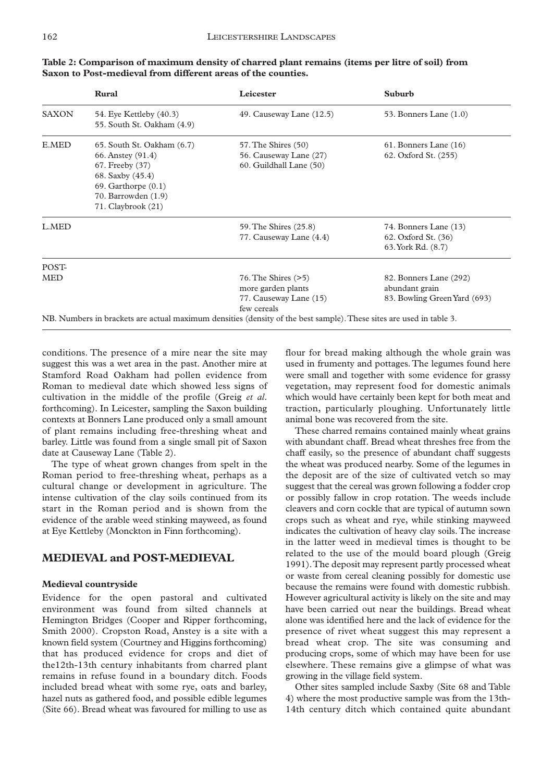|                     | <b>Rural</b>                                                                                                                                                   | Leicester                                                                                                           | Suburb                                                                   |
|---------------------|----------------------------------------------------------------------------------------------------------------------------------------------------------------|---------------------------------------------------------------------------------------------------------------------|--------------------------------------------------------------------------|
| <b>SAXON</b>        | 54. Eye Kettleby (40.3)<br>55. South St. Oakham (4.9)                                                                                                          | 49. Causeway Lane (12.5)                                                                                            | 53. Bonners Lane $(1.0)$                                                 |
| E.MED               | 65. South St. Oakham (6.7)<br>66. Anstey (91.4)<br>67. Freeby (37)<br>68. Saxby (45.4)<br>$69.$ Garthorpe $(0.1)$<br>70. Barrowden (1.9)<br>71. Claybrook (21) | 57. The Shires (50)<br>56. Causeway Lane (27)<br>60. Guildhall Lane (50)                                            | 61. Bonners Lane (16)<br>62. Oxford St. (255)                            |
| L.MED               |                                                                                                                                                                | 59. The Shires (25.8)<br>77. Causeway Lane (4.4)                                                                    | 74. Bonners Lane (13)<br>62. Oxford St. (36)<br>63. York Rd. (8.7)       |
| POST-<br><b>MED</b> |                                                                                                                                                                | $76.$ The Shires $(>5)$<br>more garden plants<br>77. Causeway Lane (15)<br>few cereals                              | 82. Bonners Lane (292)<br>abundant grain<br>83. Bowling Green Yard (693) |
|                     |                                                                                                                                                                | NB. Numbers in brackets are actual maximum densities (density of the best sample). These sites are used in table 3. |                                                                          |

**Table 2: Comparison of maximum density of charred plant remains (items per litre of soil) from Saxon to Post-medieval from different areas of the counties.**

conditions. The presence of a mire near the site may suggest this was a wet area in the past. Another mire at Stamford Road Oakham had pollen evidence from Roman to medieval date which showed less signs of cultivation in the middle of the profile (Greig *et al*. forthcoming). In Leicester, sampling the Saxon building contexts at Bonners Lane produced only a small amount of plant remains including free-threshing wheat and barley. Little was found from a single small pit of Saxon date at Causeway Lane (Table 2).

The type of wheat grown changes from spelt in the Roman period to free-threshing wheat, perhaps as a cultural change or development in agriculture. The intense cultivation of the clay soils continued from its start in the Roman period and is shown from the evidence of the arable weed stinking mayweed, as found at Eye Kettleby (Monckton in Finn forthcoming).

# **MEDIEVAL and POST-MEDIEVAL**

#### **Medieval countryside**

Evidence for the open pastoral and cultivated environment was found from silted channels at Hemington Bridges (Cooper and Ripper forthcoming, Smith 2000). Cropston Road, Anstey is a site with a known field system (Courtney and Higgins forthcoming) that has produced evidence for crops and diet of the12th-13th century inhabitants from charred plant remains in refuse found in a boundary ditch. Foods included bread wheat with some rye, oats and barley, hazel nuts as gathered food, and possible edible legumes (Site 66). Bread wheat was favoured for milling to use as

flour for bread making although the whole grain was used in frumenty and pottages. The legumes found here were small and together with some evidence for grassy vegetation, may represent food for domestic animals which would have certainly been kept for both meat and traction, particularly ploughing. Unfortunately little animal bone was recovered from the site.

These charred remains contained mainly wheat grains with abundant chaff. Bread wheat threshes free from the chaff easily, so the presence of abundant chaff suggests the wheat was produced nearby. Some of the legumes in the deposit are of the size of cultivated vetch so may suggest that the cereal was grown following a fodder crop or possibly fallow in crop rotation. The weeds include cleavers and corn cockle that are typical of autumn sown crops such as wheat and rye, while stinking mayweed indicates the cultivation of heavy clay soils. The increase in the latter weed in medieval times is thought to be related to the use of the mould board plough (Greig 1991).The deposit may represent partly processed wheat or waste from cereal cleaning possibly for domestic use because the remains were found with domestic rubbish. However agricultural activity is likely on the site and may have been carried out near the buildings. Bread wheat alone was identified here and the lack of evidence for the presence of rivet wheat suggest this may represent a bread wheat crop. The site was consuming and producing crops, some of which may have been for use elsewhere. These remains give a glimpse of what was growing in the village field system.

Other sites sampled include Saxby (Site 68 and Table 4) where the most productive sample was from the 13th-14th century ditch which contained quite abundant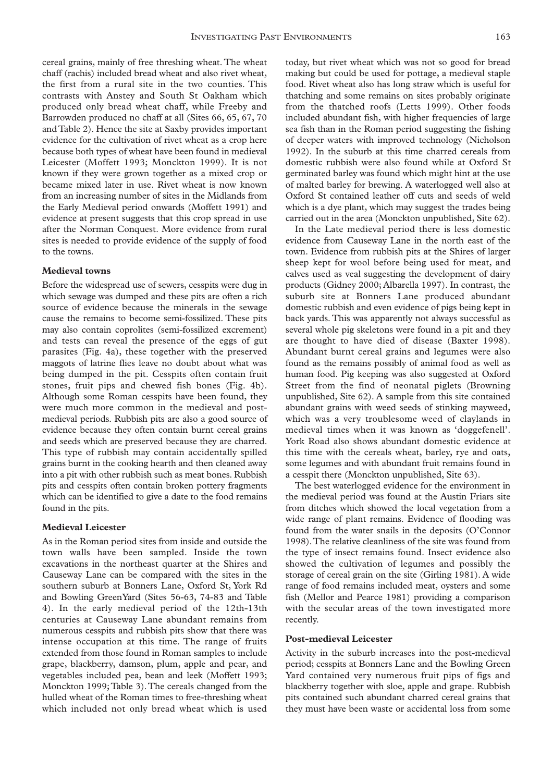cereal grains, mainly of free threshing wheat. The wheat chaff (rachis) included bread wheat and also rivet wheat, the first from a rural site in the two counties. This contrasts with Anstey and South St Oakham which produced only bread wheat chaff, while Freeby and Barrowden produced no chaff at all (Sites 66, 65, 67, 70 and Table 2). Hence the site at Saxby provides important evidence for the cultivation of rivet wheat as a crop here because both types of wheat have been found in medieval Leicester (Moffett 1993; Monckton 1999). It is not known if they were grown together as a mixed crop or became mixed later in use. Rivet wheat is now known from an increasing number of sites in the Midlands from the Early Medieval period onwards (Moffett 1991) and evidence at present suggests that this crop spread in use after the Norman Conquest. More evidence from rural sites is needed to provide evidence of the supply of food to the towns.

#### **Medieval towns**

Before the widespread use of sewers, cesspits were dug in which sewage was dumped and these pits are often a rich source of evidence because the minerals in the sewage cause the remains to become semi-fossilized. These pits may also contain coprolites (semi-fossilized excrement) and tests can reveal the presence of the eggs of gut parasites (Fig. 4a), these together with the preserved maggots of latrine flies leave no doubt about what was being dumped in the pit. Cesspits often contain fruit stones, fruit pips and chewed fish bones (Fig. 4b). Although some Roman cesspits have been found, they were much more common in the medieval and postmedieval periods. Rubbish pits are also a good source of evidence because they often contain burnt cereal grains and seeds which are preserved because they are charred. This type of rubbish may contain accidentally spilled grains burnt in the cooking hearth and then cleaned away into a pit with other rubbish such as meat bones. Rubbish pits and cesspits often contain broken pottery fragments which can be identified to give a date to the food remains found in the pits.

#### **Medieval Leicester**

As in the Roman period sites from inside and outside the town walls have been sampled. Inside the town excavations in the northeast quarter at the Shires and Causeway Lane can be compared with the sites in the southern suburb at Bonners Lane, Oxford St, York Rd and Bowling GreenYard (Sites 56-63, 74-83 and Table 4). In the early medieval period of the 12th-13th centuries at Causeway Lane abundant remains from numerous cesspits and rubbish pits show that there was intense occupation at this time. The range of fruits extended from those found in Roman samples to include grape, blackberry, damson, plum, apple and pear, and vegetables included pea, bean and leek (Moffett 1993; Monckton 1999;Table 3).The cereals changed from the hulled wheat of the Roman times to free-threshing wheat which included not only bread wheat which is used today, but rivet wheat which was not so good for bread making but could be used for pottage, a medieval staple food. Rivet wheat also has long straw which is useful for thatching and some remains on sites probably originate from the thatched roofs (Letts 1999). Other foods included abundant fish, with higher frequencies of large sea fish than in the Roman period suggesting the fishing of deeper waters with improved technology (Nicholson 1992). In the suburb at this time charred cereals from domestic rubbish were also found while at Oxford St germinated barley was found which might hint at the use of malted barley for brewing. A waterlogged well also at Oxford St contained leather off cuts and seeds of weld which is a dye plant, which may suggest the trades being carried out in the area (Monckton unpublished, Site 62).

In the Late medieval period there is less domestic evidence from Causeway Lane in the north east of the town. Evidence from rubbish pits at the Shires of larger sheep kept for wool before being used for meat, and calves used as veal suggesting the development of dairy products (Gidney 2000; Albarella 1997). In contrast, the suburb site at Bonners Lane produced abundant domestic rubbish and even evidence of pigs being kept in back yards. This was apparently not always successful as several whole pig skeletons were found in a pit and they are thought to have died of disease (Baxter 1998). Abundant burnt cereal grains and legumes were also found as the remains possibly of animal food as well as human food. Pig keeping was also suggested at Oxford Street from the find of neonatal piglets (Browning unpublished, Site 62). A sample from this site contained abundant grains with weed seeds of stinking mayweed, which was a very troublesome weed of claylands in medieval times when it was known as 'doggefenell'. York Road also shows abundant domestic evidence at this time with the cereals wheat, barley, rye and oats, some legumes and with abundant fruit remains found in a cesspit there (Monckton unpublished, Site 63).

The best waterlogged evidence for the environment in the medieval period was found at the Austin Friars site from ditches which showed the local vegetation from a wide range of plant remains. Evidence of flooding was found from the water snails in the deposits (O'Connor 1998).The relative cleanliness of the site was found from the type of insect remains found. Insect evidence also showed the cultivation of legumes and possibly the storage of cereal grain on the site (Girling 1981). A wide range of food remains included meat, oysters and some fish (Mellor and Pearce 1981) providing a comparison with the secular areas of the town investigated more recently.

### **Post-medieval Leicester**

Activity in the suburb increases into the post-medieval period; cesspits at Bonners Lane and the Bowling Green Yard contained very numerous fruit pips of figs and blackberry together with sloe, apple and grape. Rubbish pits contained such abundant charred cereal grains that they must have been waste or accidental loss from some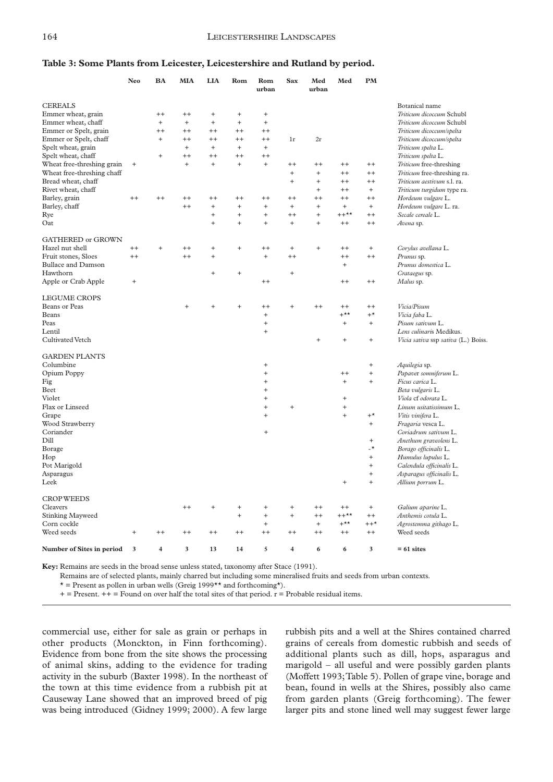# **Table 3: Some Plants from Leicester, Leicestershire and Rutland by period.**

|                            | <b>Neo</b> | BA             | MIA       | <b>LIA</b>                       | Rom       | Rom<br>urban | Sax                     | Med<br>urban  | Med       | PM                               |                                     |
|----------------------------|------------|----------------|-----------|----------------------------------|-----------|--------------|-------------------------|---------------|-----------|----------------------------------|-------------------------------------|
| <b>CEREALS</b>             |            |                |           |                                  |           |              |                         |               |           |                                  | Botanical name                      |
| Emmer wheat, grain         |            | $^{++}$        | $^{++}$   | $\begin{array}{c} + \end{array}$ | $^{+}$    | $^{+}$       |                         |               |           |                                  | Triticum dicoccum Schubl            |
| Emmer wheat, chaff         |            | $\ddot{}$      | $\ddot{}$ | $\ddot{}$                        | $^{+}$    | $\ddot{}$    |                         |               |           |                                  | Triticum dicoccum Schubl            |
| Emmer or Spelt, grain      |            | $^{++}$        | $^{++}$   | $++$                             | $^{++}$   | $^{++}$      |                         |               |           |                                  | Triticum dicoccum/spelta            |
| Emmer or Spelt, chaff      |            | $\ddot{}$      | $^{++}$   | $^{++}$                          | $^{++}$   | $^{++}$      | 1r                      | $2\mathrm{r}$ |           |                                  | Triticum dicoccum/spelta            |
| Spelt wheat, grain         |            |                | $\ddot{}$ | $\ddot{}$                        | $\ddot{}$ | $\ddot{}$    |                         |               |           |                                  | Triticum spelta L.                  |
| Spelt wheat, chaff         |            | $\ddot{}$      | $^{++}$   | $^{++}$                          | $^{++}$   | $++$         |                         |               |           |                                  | Triticum spelta L.                  |
| Wheat free-threshing grain | $\ddot{}$  |                | $\ddot{}$ | $\ddot{}$                        | $^{+}$    | $\ddot{}$    | $^{++}$                 | $^{++}$       | $^{++}$   | $^{++}$                          | Triticum free-threshing             |
| Wheat free-threshing chaff |            |                |           |                                  |           |              | $\ddot{}$               | $^{+}$        | $^{++}$   | $^{++}$                          | Triticum free-threshing ra.         |
| Bread wheat, chaff         |            |                |           |                                  |           |              | $\ddot{}$               | $\ddot{}$     | $^{++}$   | $^{++}$                          | Triticum aestivum s.l. ra.          |
| Rivet wheat, chaff         |            |                |           |                                  |           |              |                         | $\ddot{}$     | $^{++}$   | $+$                              | Triticum turgidum type ra.          |
| Barley, grain              | $++$       | $^{++}$        | $^{++}$   | $^{++}$                          | $^{++}$   | $^{++}$      | $++$                    | $^{++}$       | $^{++}$   | $^{++}$                          | Hordeum vulgare L.                  |
| Barley, chaff              |            |                | $^{++}$   | $+$                              | $\ddot{}$ | $\ddot{}$    | $+$                     | $\ddot{}$     | $+$       | $+$                              | Hordeum vulgare L. ra.              |
| Rye                        |            |                |           | $\ddot{}$                        | $^{+}$    | $^{+}$       | $++$                    | $^{+}$        | $++**$    | $^{++}$                          | Secale cereale L.                   |
| Oat                        |            |                |           | $\ddot{}$                        | $\ddot{}$ | $\ddot{}$    | $^{+}$                  | $+$           | $^{++}$   | $^{++}$                          | Avena sp.                           |
|                            |            |                |           |                                  |           |              |                         |               |           |                                  |                                     |
| GATHERED or GROWN          |            |                |           |                                  |           |              |                         |               |           |                                  |                                     |
| Hazel nut shell            | $^{++}$    | $\ddot{}$      | $^{++}$   | $\ddot{}$                        | $^{+}$    | $^{++}$      | $\qquad \qquad +$       | $^{+}$        | $^{++}$   | $+$                              | Corylus avellana L.                 |
| Fruit stones, Sloes        | $^{++}$    |                | $^{++}$   | $\ddot{}$                        |           | $\ddot{}$    | $^{++}$                 |               | $^{++}$   | $++$                             | Prunus sp.                          |
| <b>Bullace and Damson</b>  |            |                |           |                                  |           |              |                         |               | $\ddot{}$ |                                  | Prunus domestica L.                 |
| Hawthorn                   |            |                |           | $\ddot{}$                        | $^{+}$    |              | $\ddot{}$               |               |           |                                  | Crataegus sp.                       |
| Apple or Crab Apple        | $\ddot{}$  |                |           |                                  |           | $^{++}$      |                         |               | $^{++}$   | $^{++}$                          | Malus sp.                           |
| <b>LEGUME CROPS</b>        |            |                |           |                                  |           |              |                         |               |           |                                  |                                     |
| <b>Beans or Peas</b>       |            |                | $^{+}$    | $^{+}$                           | $^{+}$    | $^{++}$      | $^{+}$                  | $^{++}$       | $^{++}$   | $^{++}$                          | Vicia/Pisum                         |
| Beans                      |            |                |           |                                  |           | $\ddot{}$    |                         |               | $+***$    | $+^{\star}$                      | Vicia faba L.                       |
| Peas                       |            |                |           |                                  |           | $^{+}$       |                         |               | $+$       | $+$                              | Pisum sativum L.                    |
| Lentil                     |            |                |           |                                  |           | $\ddot{}$    |                         |               |           |                                  | Lens culinaris Medikus.             |
| Cultivated Vetch           |            |                |           |                                  |           |              |                         | $\ddot{}$     | $\ddot{}$ | $\ddot{}$                        | Vicia sativa ssp sativa (L.) Boiss. |
| <b>GARDEN PLANTS</b>       |            |                |           |                                  |           |              |                         |               |           |                                  |                                     |
| Columbine                  |            |                |           |                                  |           | $^{+}$       |                         |               |           | $\ddot{}$                        | Aquilegia sp.                       |
| Opium Poppy                |            |                |           |                                  |           | $\ddot{}$    |                         |               | $^{++}$   | $\begin{array}{c} + \end{array}$ | Papaver somniferum L.               |
| Fig                        |            |                |           |                                  |           | $\ddot{}$    |                         |               | $\ddot{}$ | $+$                              | Ficus carica L.                     |
| Beet                       |            |                |           |                                  |           | $^{+}$       |                         |               |           |                                  | Beta vulgaris L.                    |
| Violet                     |            |                |           |                                  |           | $\ddot{}$    |                         |               | $\ddot{}$ |                                  | Viola cf odorata L.                 |
| Flax or Linseed            |            |                |           |                                  |           | $\ddot{}$    | $^{+}$                  |               | $\ddot{}$ |                                  | Linum usitatissimum L.              |
| Grape                      |            |                |           |                                  |           | $\ddot{}$    |                         |               | $\ddot{}$ | $+^{\star}$                      | Vitis vinifera L.                   |
| Wood Strawberry            |            |                |           |                                  |           |              |                         |               |           | $+$                              | Fragaria vesca L.                   |
| Coriander                  |            |                |           |                                  |           | $\ddot{}$    |                         |               |           |                                  | Coriadrum sativum L.                |
| Dill                       |            |                |           |                                  |           |              |                         |               |           | $+$                              | Anethum graveolens L.               |
| Borage                     |            |                |           |                                  |           |              |                         |               |           | $\overline{\phantom{0}}$         | Borago officinalis L.               |
| Hop                        |            |                |           |                                  |           |              |                         |               |           | $+$                              | Humulus lupulus L.                  |
| Pot Marigold               |            |                |           |                                  |           |              |                         |               |           | $\ddot{}$                        | Calendula officinalis L.            |
| Asparagus                  |            |                |           |                                  |           |              |                         |               |           | $\qquad \qquad +$                | Asparagus officinalis L.            |
| Leek                       |            |                |           |                                  |           |              |                         |               | $\ddot{}$ | $\ddot{}$                        | Allium porrum L.                    |
|                            |            |                |           |                                  |           |              |                         |               |           |                                  |                                     |
| <b>CROP WEEDS</b>          |            |                |           |                                  |           |              |                         |               |           |                                  |                                     |
| Cleavers                   |            |                | $++$      | $+$                              | $^{+}$    | $^{+}$       | $^{+}$                  | $^{++}$       | $^{++}$   | $+$                              | Galium aparine L.                   |
| <b>Stinking Mayweed</b>    |            |                |           |                                  | $\ddot{}$ | $\ddot{}$    | $\ddot{}$               | $^{++}$       | $***$     | $++$                             | Anthemis cotula L.                  |
| Corn cockle                |            |                |           |                                  |           | $\ddot{}$    |                         | $\ddot{}$     | $+***$    | $++*$                            | Agrostemma githago L.               |
| Weed seeds                 | $\ddot{}$  | $^{++}$        | $^{++}$   | $^{++}$                          | $^{++}$   | $++$         | $++$                    | $^{++}$       | $^{++}$   | $^{++}$                          | Weed seeds                          |
| Number of Sites in period  | 3          | $\overline{4}$ | 3         | 13                               | 14        | 5            | $\overline{\mathbf{4}}$ | 6             | 6         | 3                                | $= 61$ sites                        |

**Key:** Remains are seeds in the broad sense unless stated, taxonomy after Stace (1991).

Remains are of selected plants, mainly charred but including some mineralised fruits and seeds from urban contexts.

 $\star$  = Present as pollen in urban wells (Greig 1999 $\star$  and forthcoming $\star$ ).

 $+=$  Present.  $++$  = Found on over half the total sites of that period.  $r =$  Probable residual items.

commercial use, either for sale as grain or perhaps in other products (Monckton, in Finn forthcoming). Evidence from bone from the site shows the processing of animal skins, adding to the evidence for trading activity in the suburb (Baxter 1998). In the northeast of the town at this time evidence from a rubbish pit at Causeway Lane showed that an improved breed of pig was being introduced (Gidney 1999; 2000). A few large

rubbish pits and a well at the Shires contained charred grains of cereals from domestic rubbish and seeds of additional plants such as dill, hops, asparagus and marigold – all useful and were possibly garden plants (Moffett 1993;Table 5). Pollen of grape vine, borage and bean, found in wells at the Shires, possibly also came from garden plants (Greig forthcoming). The fewer larger pits and stone lined well may suggest fewer large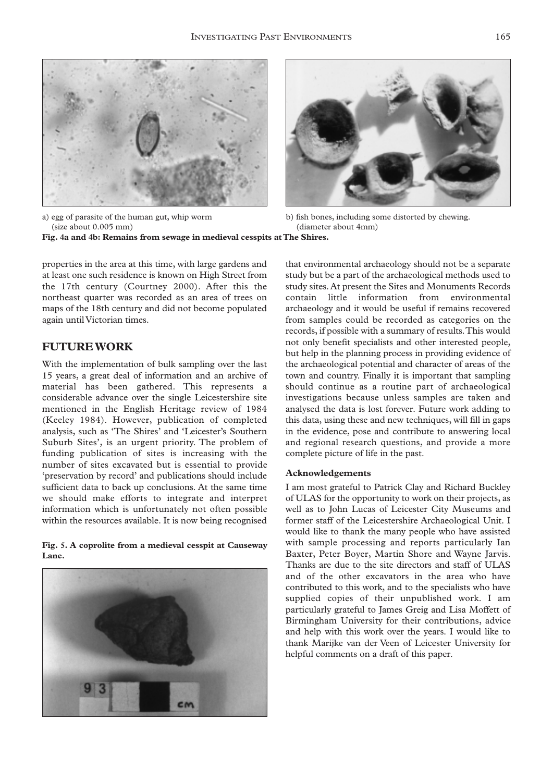



a) egg of parasite of the human gut, whip worm b) fish bones, including some distorted by chewing.

(size about 0.005 mm) b) (diameter about 4mm) **Fig. 4a and 4b: Remains from sewage in medieval cesspits at The Shires.**

properties in the area at this time, with large gardens and at least one such residence is known on High Street from the 17th century (Courtney 2000). After this the northeast quarter was recorded as an area of trees on maps of the 18th century and did not become populated again until Victorian times.

# **FUTURE WORK**

With the implementation of bulk sampling over the last 15 years, a great deal of information and an archive of material has been gathered. This represents a considerable advance over the single Leicestershire site mentioned in the English Heritage review of 1984 (Keeley 1984). However, publication of completed analysis, such as 'The Shires' and 'Leicester's Southern Suburb Sites', is an urgent priority. The problem of funding publication of sites is increasing with the number of sites excavated but is essential to provide 'preservation by record' and publications should include sufficient data to back up conclusions. At the same time we should make efforts to integrate and interpret information which is unfortunately not often possible within the resources available. It is now being recognised

**Fig. 5. A coprolite from a medieval cesspit at Causeway Lane.**



that environmental archaeology should not be a separate study but be a part of the archaeological methods used to study sites. At present the Sites and Monuments Records contain little information from environmental archaeology and it would be useful if remains recovered from samples could be recorded as categories on the records, if possible with a summary of results.This would not only benefit specialists and other interested people, but help in the planning process in providing evidence of the archaeological potential and character of areas of the town and country. Finally it is important that sampling should continue as a routine part of archaeological investigations because unless samples are taken and analysed the data is lost forever. Future work adding to this data, using these and new techniques, will fill in gaps in the evidence, pose and contribute to answering local and regional research questions, and provide a more complete picture of life in the past.

# **Acknowledgements**

I am most grateful to Patrick Clay and Richard Buckley of ULAS for the opportunity to work on their projects, as well as to John Lucas of Leicester City Museums and former staff of the Leicestershire Archaeological Unit. I would like to thank the many people who have assisted with sample processing and reports particularly Ian Baxter, Peter Boyer, Martin Shore and Wayne Jarvis. Thanks are due to the site directors and staff of ULAS and of the other excavators in the area who have contributed to this work, and to the specialists who have supplied copies of their unpublished work. I am particularly grateful to James Greig and Lisa Moffett of Birmingham University for their contributions, advice and help with this work over the years. I would like to thank Marijke van der Veen of Leicester University for helpful comments on a draft of this paper.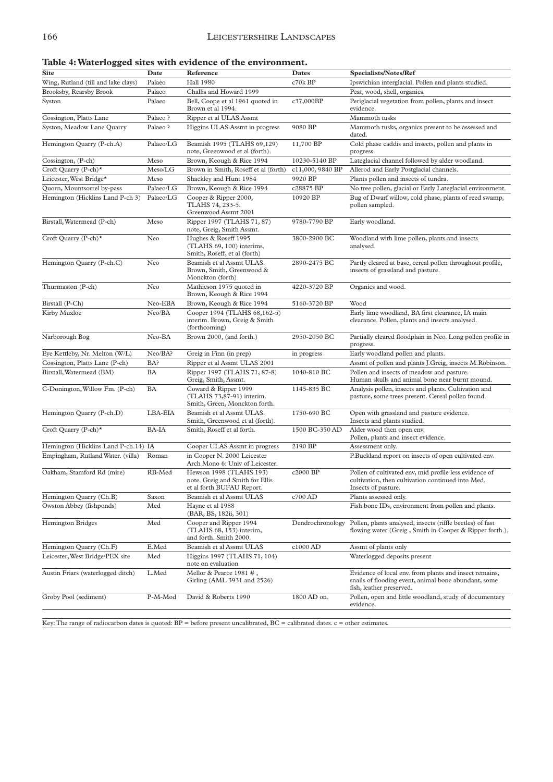| 88                                   |           |                                                                                         |                  |                                                                                                                                            |
|--------------------------------------|-----------|-----------------------------------------------------------------------------------------|------------------|--------------------------------------------------------------------------------------------------------------------------------------------|
| <b>Site</b>                          | Date      | Reference                                                                               | Dates            | <b>Specialists/Notes/Ref</b>                                                                                                               |
| Wing, Rutland (till and lake clays)  | Palaeo    | <b>Hall 1980</b>                                                                        | c70k BP          | Ipswichian interglacial. Pollen and plants studied.                                                                                        |
| Brooksby, Rearsby Brook              | Palaeo    | Challis and Howard 1999                                                                 |                  | Peat, wood, shell, organics.                                                                                                               |
| Syston                               | Palaeo    | Bell, Coope et al 1961 quoted in<br>Brown et al 1994.                                   | c37,000BP        | Periglacial vegetation from pollen, plants and insect<br>evidence.                                                                         |
| Cossington, Platts Lane              | Palaeo?   | Ripper et al ULAS Assmt                                                                 |                  | Mammoth tusks                                                                                                                              |
| Syston, Meadow Lane Quarry           | Palaeo?   | Higgins ULAS Assmt in progress                                                          | 9080 BP          | Mammoth tusks, organics present to be assessed and<br>dated.                                                                               |
| Hemington Quarry (P-ch.A)            | Palaeo/LG | Beamish 1995 (TLAHS 69,129)<br>note, Greenwood et al (forth).                           | 11,700 BP        | Cold phase caddis and insects, pollen and plants in<br>progress.                                                                           |
| Cossington, (P-ch)                   | Meso      | Brown, Keough & Rice 1994                                                               | 10230-5140 BP    | Lateglacial channel followed by alder woodland.                                                                                            |
| Croft Quarry (P-ch)*                 | Meso/LG   | Brown in Smith, Roseff et al (forth)                                                    | c11,000, 9840 BP | Allerod and Early Postglacial channels.                                                                                                    |
| Leicester, West Bridge*              | Meso      | Shackley and Hunt 1984                                                                  | 9920 BP          | Plants pollen and insects of tundra.                                                                                                       |
| Quorn, Mountsorrel by-pass           | Palaeo/LG | Brown, Keough & Rice 1994                                                               | c28875 BP        | No tree pollen, glacial or Early Lateglacial environment.                                                                                  |
| Hemington (Hicklins Land P-ch 3)     | Palaeo/LG | Cooper & Ripper 2000,<br>TLAHS 74, 233-5.<br>Greenwood Assmt 2001                       | 10920 BP         | Bug of Dwarf willow, cold phase, plants of reed swamp,<br>pollen sampled.                                                                  |
| Birstall, Watermead (P-ch)           | Meso      | Ripper 1997 (TLAHS 71, 87)<br>note, Greig, Smith Assmt.                                 | 9780-7790 BP     | Early woodland.                                                                                                                            |
| Croft Quarry (P-ch)*                 | Neo       | Hughes & Roseff 1995<br>(TLAHS 69, 100) interims.<br>Smith, Roseff, et al (forth)       | 3800-2900 BC     | Woodland with lime pollen, plants and insects<br>analysed.                                                                                 |
| Hemington Quarry (P-ch.C)            | Neo       | Beamish et al Assmt ULAS.<br>Brown, Smith, Greenwood &<br>Monckton (forth)              | 2890-2475 BC     | Partly cleared at base, cereal pollen throughout profile,<br>insects of grassland and pasture.                                             |
| Thurmaston (P-ch)                    | Neo       | Mathieson 1975 quoted in<br>Brown, Keough & Rice 1994                                   | 4220-3720 BP     | Organics and wood.                                                                                                                         |
| Birstall (P-Ch)                      | Neo-EBA   | Brown, Keough & Rice 1994                                                               | 5160-3720 BP     | Wood                                                                                                                                       |
| Kirby Muxloe                         | Neo/BA    | Cooper 1994 (TLAHS 68,162-5)<br>interim. Brown, Greig & Smith<br>(forthcoming)          |                  | Early lime woodland, BA first clearance, IA main<br>clearance. Pollen, plants and insects analysed.                                        |
| Narborough Bog                       | Neo-BA    | Brown 2000, (and forth.)                                                                | 2950-2050 BC     | Partially cleared floodplain in Neo. Long pollen profile in<br>progress.                                                                   |
| Eye Kettleby, Nr. Melton (W/L)       | Neo/BA?   | Greig in Finn (in prep)                                                                 | in progress      | Early woodland pollen and plants.                                                                                                          |
| Cossington, Platts Lane (P-ch)       | BA?       | Ripper et al Assmt ULAS 2001                                                            |                  | Assmt of pollen and plants J.Greig, insects M.Robinson.                                                                                    |
| Birstall, Watermead (BM)             | BA        | Ripper 1997 (TLAHS 71, 87-8)<br>Greig, Smith, Assmt.                                    | 1040-810 BC      | Pollen and insects of meadow and pasture.<br>Human skulls and animal bone near burnt mound.                                                |
| C-Donington, Willow Fm. (P-ch)       | BA        | Coward & Ripper 1999<br>(TLAHS 73,87-91) interim.<br>Smith, Green, Monckton forth.      | 1145-835 BC      | Analysis pollen, insects and plants. Cultivation and<br>pasture, some trees present. Cereal pollen found.                                  |
| Hemington Quarry (P-ch.D)            | LBA-EIA   | Beamish et al Assmt ULAS.<br>Smith, Greenwood et al (forth).                            | 1750-690 BC      | Open with grassland and pasture evidence.<br>Insects and plants studied.                                                                   |
| Croft Quarry (P-ch)*                 | BA-IA     | Smith, Roseff et al forth.                                                              | 1500 BC-350 AD   | Alder wood then open env.<br>Pollen, plants and insect evidence.                                                                           |
| Hemington (Hicklins Land P-ch.14) IA |           | Cooper ULAS Assmt in progress                                                           | 2190 BP          | Assessment only.                                                                                                                           |
| Empingham, Rutland Water. (villa)    | Roman     | in Cooper N. 2000 Leicester<br>Arch Mono 6: Univ of Leicester.                          |                  | P.Buckland report on insects of open cultivated env.                                                                                       |
| Oakham, Stamford Rd (mire)           | RB-Med    | Hewson 1998 (TLAHS 193)<br>note. Greig and Smith for Ellis<br>et al forth BUFAU Report. | c2000 BP         | Pollen of cultivated env, mid profile less evidence of<br>cultivation, then cultivation continued into Med.<br>Insects of pasture.         |
| Hemington Quarry (Ch.B)              | Saxon     | Beamish et al Assmt ULAS                                                                | c700 AD          | Plants assessed only.                                                                                                                      |
| Owston Abbey (fishponds)             | Med       | Hayne et al 1988<br>(BAR, BS, 182ii, 301)                                               |                  | Fish bone IDs, environment from pollen and plants.                                                                                         |
| <b>Hemington Bridges</b>             | Med       | Cooper and Ripper 1994<br>(TLAHS 68, 153) interim,<br>and forth. Smith 2000.            | Dendrochronology | Pollen, plants analysed, insects (riffle beetles) of fast<br>flowing water (Greig, Smith in Cooper & Ripper forth.).                       |
| Hemington Quarry (Ch.F)              | E.Med     | Beamish et al Assmt ULAS                                                                | c1000 AD         | Assmt of plants only                                                                                                                       |
| Leicester, West Bridge/PEX site      | Med       | Higgins 1997 (TLAHS 71, 104)<br>note on evaluation                                      |                  | Waterlogged deposits present                                                                                                               |
| Austin Friars (waterlogged ditch)    | L.Med     | Mellor & Pearce 1981 #,<br>Girling (AML 3931 and 2526)                                  |                  | Evidence of local env. from plants and insect remains,<br>snails of flooding event, animal bone abundant, some<br>fish, leather preserved. |
| Groby Pool (sediment)                | P-M-Mod   | David & Roberts 1990                                                                    | 1800 AD on.      | Pollen, open and little woodland, study of documentary<br>evidence.                                                                        |

Key: The range of radiocarbon dates is quoted:  $BP =$  before present uncalibrated,  $BC =$  calibrated dates.  $c =$  other estimates.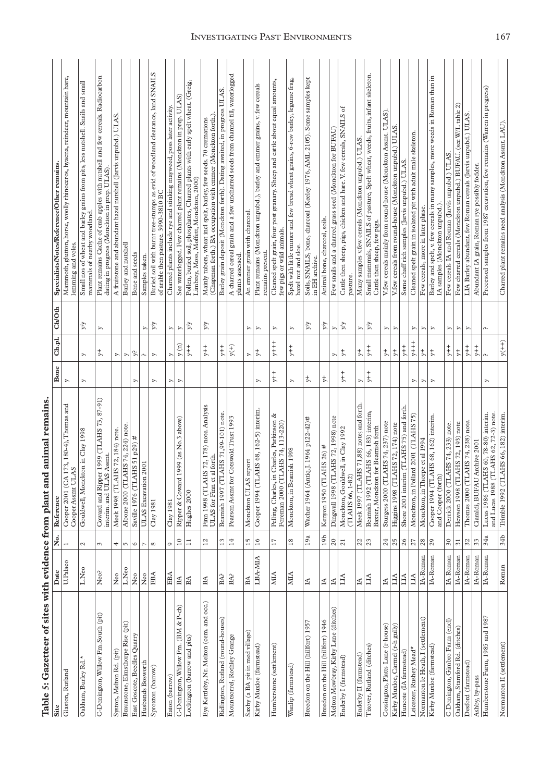|                                          |                    |                          | Table 5: Gazetteer of sites with evidence from plant and animal remains              |                  |                                |                       |                                                                                                                                  |
|------------------------------------------|--------------------|--------------------------|--------------------------------------------------------------------------------------|------------------|--------------------------------|-----------------------|----------------------------------------------------------------------------------------------------------------------------------|
|                                          |                    | ż.                       | Reference                                                                            | Bone             | Ch.pl.                         | Ch/Oth                | Specialists/Notes/Reference/Other remains.                                                                                       |
| Glaston, Rutland                         | U.Palaeo           | $\overline{\phantom{0}}$ | 173, 180-4), Thomas and<br>AS<br>Cooper 2001 (CA<br>Cooper Assmt UL                  | $\triangleright$ |                                |                       | Mammoth, glutton, horse, woolly rhinoceros, hyaena, reindeer, mountain hare,<br>lemming and voles.                               |
| Oakham, Burley Rd.                       | L.Neo              | $\mathcal{L}$            | Gouldwell, Monckton in Clay 1998                                                     | D,               | D,                             | Уy                    | Small nos of wheat and barley grains from pits, less nutshell. Snails and small<br>mammals of nearby woodland                    |
| C-Donington, Willow Fm.South (pit)       | Neo?               | 3                        | Coward and Ripper 1999 (TLAHS 73, 87-91)<br>interim. and ULAS Assmt.                 |                  | ţ,                             | Z                     | Plant remains Cache of crab apples with nutshell and few cereals. Radiocarbon<br>dating in progress (Monckton in prep. ULAS)     |
| Syston, Melton Rd. (pit)                 | ${\rm N}^{\rm eo}$ | 4                        | Meek 1998 (TLAHS 72, 184) note.                                                      |                  | $\blacktriangleright$          |                       | A fruitstone and abundant hazel nutshell (Jarvis unpubd.) ULAS                                                                   |
| Braunstone, Elmsthorpe Rise (pit)        | L.Neo              | $\sqrt{2}$               | Albone 2000 (TLAHS 74, 224) note.                                                    |                  | y,                             |                       | Barley and nutshell                                                                                                              |
| East Goscote, Beedles Quarry             | Neo                | $\circ$                  | Saville 1976 (TLAHS 51 p29) #                                                        | $\triangleright$ | ኔ.                             |                       | Bone and seeds                                                                                                                   |
| Husbands Bosworth                        | ${\rm N}^{\rm eo}$ | $\overline{\phantom{a}}$ | 2001<br>ULAS Excavation                                                              |                  | $\curvearrowright$             | $\triangleright$      | Samples taken.                                                                                                                   |
| Sproxton (barrow)                        | EBA                | $\infty$                 | Clay 1981                                                                            | D,               | $\triangleright$               | γŃ                    | Buried soil with burnt tree-stumps as evid of woodland clearance, land SNAILS<br>of arable then pasture. 3990-3810 BC            |
| Eaton (barrow)                           | EBA                | $\circ$                  | Clay 1981                                                                            | Y,               | D,                             | Z                     | Charred plants include rye and stinking mayweed, poss later activity.                                                            |
| C-Donington, Willow Fm. (BM & P-ch)      | $_{\rm BA}$        | $\overline{10}$          | 1999 (as No.3 above)<br>Ripper & Coward                                              | >                | y(n)                           | S,                    | See waterlogged. Few charred plant remains (Monckton in prep. ULAS)                                                              |
| Lockington (barrow and pits)             | $_{\rm BA}$        | $\Xi$                    | Hughes 2000                                                                          |                  | $y++$                          | ΔÃ                    | Pollen, buried soil, phosphates, Charred plants with early spelt wheat. (Greig,<br>Limbrey, Moss, Moffett, Monckton, 2000)       |
| Eye Kettleby, Nr. Melton (cem. and occ.) | BA                 | $\overline{c}$           | S 72, 178) note. Analysis<br>ULAS for Finn et al forth.<br>Finn 1998 (TLAH           |                  | $+ +$                          | Уy                    | (Chapman forth.) BA occupation with emmer (Monckton forth.)<br>Mainly tubers, wheat incl spelt, barley, few seeds. 70 cremations |
| Ridlington, Rutland (round-houses)       | $BA^2$             | 13                       | Beamish 1997 (TLAHS 71,99-101) note.                                                 |                  | $+$                            |                       | ULAS.<br>Barley grain deposit (Monckton forth). Dating awaited, in progress                                                      |
| Mountsorrel, Rothley Grange              | BA?                | 14                       | Pearson Assmt for Cotswold Trust 1993                                                |                  | $\widetilde{y}(+)$             |                       | A charred cereal grain and a few uncharred seeds from channel fill, waterlogged<br>plants assessed                               |
| Saxby (a BA pit in med village)          | BA                 | 15                       | report<br>Monckton ULAS                                                              |                  | $\triangleright$               | Þ,                    | An emmer grain with charcoal.                                                                                                    |
| Kirby Muxloe (farmstead)                 | LBA-MIA            | 16                       | Cooper 1994 (TLAHS 68, 162-5) interim.                                               | S,               | $\ddagger$                     | $\triangleright$      | Plant remains (Monckton unpubd.), barley and emmer grains, v. few cereals<br>remains present.                                    |
| Humberstone (settlement)                 | МIА                | $\overline{17}$          | Charles, Parkinson &<br>AHS 74, 113-220)<br>Pelling, Charles, in<br>Foreman 2000 (T) | $+$              | $y++$                          | S,                    | Cleaned spelt grain, four post granary. Sheep and cattle about equal amounts,<br>few pigs or wild animals.                       |
| Wanlip (farmstead)                       | МIА                | $^{18}$                  | Monckton, in Beamish 1998                                                            | $\triangleright$ | $_{+}^{+}$                     | y,                    | Spelt with little emmer and few bread wheat grains, 6-row barley, legume frag,<br>hazel nut and sloe.                            |
| Breedon on the Hill (hillfort) 1957      | ₹                  | 19a                      | Wacher 1964 (Antiq.J. 1964 p122-42)#                                                 | ţ,               |                                | Уy                    | Soils, SNAILS, bone, charcoal (Keeley 1976, AML 2105). Some samples kept<br>in EH archive.                                       |
| Breedon on the Hill (hillfort) 1946      | $\mathbb H$        | 19 <sub>b</sub>          | Kenyon 1950 (TLAHS 26) #                                                             | $\ddagger$       |                                | yίδ                   | Animal bone, charcoal, soils.                                                                                                    |
| Melton Mowbray, Kirby Lane (ditches)     | $ \mathbb{A} $     | $\overline{5}$           | Dingwall 1998 (TLAHS 72, 1998) note                                                  |                  | $\triangleright$               | $\triangleright$      | Few snails and a charred grass seed (Monckton for BUFAU)                                                                         |
| Enderby I (farmstead)                    | LIA                | $\overline{21}$          | Monckton, Gouldwell, in Clay 1992<br>(TLAHS 66, 1-82)                                | $+$              | ţ                              | λλ                    | Cattle then sheep, pigs, chicken and hare. V. few cereals, SNAILS of<br>pasture.                                                 |
| Enderby II (farmstead)                   | A                  | $\frac{22}{23}$          | Meek 1997 (TLAHS 71,88) note; and forth.                                             | $\triangleright$ | $\ddagger$                     | $\triangleright$      | Many samples v.few cereals (Monckton unpubd.) ULAS                                                                               |
| Tixover, Rutland (ditches)               | LIA                |                          | Beamish 1992 (TLAHS 66, 183) interim,<br>Baxter, Monckton for Beamish forth          | $+$              | $+$                            | γγ                    | Small mammals, SNAILS of pasture, Spelt wheat, weeds, fruits, infant skeleton.<br>Cattle then sheep, few pigs.                   |
| Cossington, Platts Lane (r-house)        | $\mathbb{A}$       | $^{24}$                  | Sturgess 2000 (TLAHS 74, 237) note                                                   |                  | $\ddagger$                     | ⋗                     | V.few cereals mainly from round-house (Monckton Assmt. ULAS)                                                                     |
| Kirby Muxloe, Carmel (r-h gully)         | ЦА                 | 25                       | Higgins 1998 (TLAHS 72, 174) note                                                    |                  | $\stackrel{+}{\triangleright}$ | $\triangleright$      | V.few cereals from round-house (Monckton unpubd.) ULAS                                                                           |
| Huncote (IA farmstead)                   | LIA                | $26$                     | Shore 2001 interim (TLAHS 75) and forth.                                             |                  | $+$                            |                       | Some chaff rich samples (Jarvis unpubd.) ULAS                                                                                    |
| Leicester, Rushey Mead*                  | ЦĄ                 | $\overline{27}$          | Monckton, in Pollard 2001 (TLAHS 75)                                                 | $\triangleright$ | $y++$                          | $\geq$                | Cleaned spelt grain in isolated pit with adult male skeleton.                                                                    |
| Normanton le Heath, I (settlement)       | IA-Roman           | $28\,$                   | Monckton, in Thorpe et al 1994                                                       | $\triangleright$ | $\ddagger$                     | $\blacktriangleright$ | Few cereals, more in later phase.                                                                                                |
| Kirby Muxloe (farmstead)                 | IA-Roman           | 29                       | Cooper 1994 (TLAHS 68, 162) interim.<br>and Cooper (forth)                           | $\triangleright$ | $\ddagger$                     | $\triangleright$      | Barley and spelt, v. few cereals in many samples, more weeds in Roman than in<br>IA samples (Monckton unpubd.)                   |
| C-Donington, Gimbro Farm (end)           | IA-Roman           | $\sqrt{30}$              | Derrick 2000 (TLAHS 74, 233) note.                                                   |                  | $++$                           | $\triangleright$      | Few cereals IA and Roman (Jarvis unpubd.) ULAS.                                                                                  |
| Oakham, Stamford Rd. (ditches)           | IA-Roman           | $\overline{51}$          | Hewson 1998 (TLAHS 72, 193) note                                                     |                  | $\ddagger$                     | >                     | $\widehat{\mathcal{C}}$<br>(see W/L table<br>Few charred cereals (Monckton unpubd.) BUFAU.                                       |
| Desford (farmstead)                      | IA-Roman           | $\mathfrak{Z}$           | Thomas 2000 (TLAHS 74, 238) note.                                                    |                  | $+$                            | D,                    | LIA Barley abundant, few Roman cereals (Jarvis unpubd.) ULAS                                                                     |
| Ashby, by-pass                           | IA-Roman           | 33                       | Ciaraldi, BUFAU Archive 2001                                                         |                  | $+$                            |                       | Abundant IA grain, Roman rye possibly fodder.                                                                                    |
| Humberstone Farm, 1985 and 1987          | IA-Roman           | 34a                      | and Lucas 1988 (TLAHS 62, 72-3) note<br>Lucas 1986 (TLAHS 60, 78-80) interim.        | D,               | $\Lambda$                      | Λ.                    | Processed samples from 1987 excavation, few remains (Warren in progress)                                                         |
| Normanton II (settlement)                | Roman              | 34b                      | Trimble 1992 (TLAHS 66, 182) interim.                                                |                  | $y(++)$                        |                       | Charred plant remains need analysis (Monckton Assmt. LAU).                                                                       |

# INVESTIGATING PAST ENVIRONMENTS 167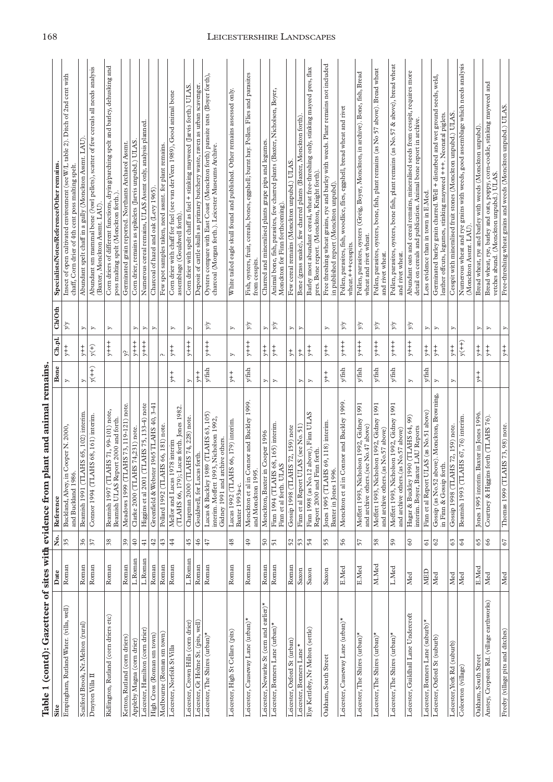| Site                                      | Date           | ż.                         | Reference                                                                                                               | Bone                 | Ch.p.l.                                       | Ch/Oth           | Specialists/Notes/Reference/Other remains                                                                                                             |
|-------------------------------------------|----------------|----------------------------|-------------------------------------------------------------------------------------------------------------------------|----------------------|-----------------------------------------------|------------------|-------------------------------------------------------------------------------------------------------------------------------------------------------|
| Empingham, Rutland Water. (villa, well)   | Roman          | 35                         | Buckland, Alvey, in Cooper N. 2000.<br>and Buckland 1986                                                                | $\triangleright$     | $+$                                           | γχ               | Insect of open cultivated environment (see W/L table 2). Ditch of 2nd cent with<br>chaff, Corn drier of 4th cent poss malting spelt                   |
| Scalford Brook, Nr. Melton (rural)        | Roman          | 36                         | Beamish 1991 (TLAHS 65, 102) interim                                                                                    | Þ,                   | $+$                                           | $\triangleright$ | Abundant spelt chaff in a gully (Monckton Assmt. LAU)                                                                                                 |
| Drayton Villa II                          | Roman          | 57                         | Comor 1994 (TLAHS 68, 161) interim.                                                                                     | $y(++)$              | $\widetilde{\mathcal{F}}_{\mathcal{A}}^{(+)}$ | $\triangleright$ | Abundant sm mammal bone (?owl pellets), scatter of few cereals all needs analysis<br>(Baxter, Monckton Assmt. LAU).                                   |
| Ridlington, Rutland (corn driers etc)     | Roman          | $38$                       | Beamish 1997 (TLAHS 71, 99-101) note,<br>Beamish ULAS Report 2000 and forth                                             |                      | $+$ $+$ $+$ $+$ $+$ $+$                       | ⋗                | Corn driers of different functions, drying/parching spelt and barley, dehusking and<br>poss malting spelt (Monckton forth.)                           |
| Ketton, Rutland (corn driers)             | Roman          | $\mathfrak{S}6$            | Meadows 1999 (TLAHS 73, 119-121) note.                                                                                  |                      | $\ddot{\tilde{z}}$                            |                  | Germinated grain reported. Northants Archaeol Assmt.                                                                                                  |
| Appleby Magna (corn drier)                | L.Roman        | $40\,$                     | Clarke 2000 (TLAHS 74,231) note.                                                                                        |                      | $y++$                                         | A,               | Corn drier, remains as spikelets (Jarvis unpubd.) ULAS                                                                                                |
| Leicester, Hamilton (corn drier)          | $L$ .<br>Roman | $\frac{1}{4}$              | (TLAHS 75, 133-4) note<br>Higgins et al 2001                                                                            |                      | $+$<br>$+$<br>$+$<br>$+$                      | $\triangleright$ | Numerous cereal remains, ULAS Assmt only, analysis planned.                                                                                           |
| High Cross (Roman sm town)                | Roman          | $42\,$                     | Greenfield & Webster 1965 TLAHS 40, 3-41                                                                                |                      |                                               | Þ,               | Charcoal of hazel and oak (Levy 1965).                                                                                                                |
| Medbourne (Roman sm town)                 | Roman          | $43$                       | Pollard 1992 (TLAHS 66, 181) note.                                                                                      |                      | Λ.                                            |                  | Few spot samples taken, need assmt. for plant remains.                                                                                                |
| Leicester, Norfolk StVilla                | Roman          | 44                         | (TLAHS 66, 179); Lucas forth. Jones 1982<br>Mellor and Lucas 1978 interim                                               | $+$                  | $+$                                           | $\triangleright$ | Corn drier with chaff for fuel (see van der Veen 1989), Good animal bone<br>assemblage (Gouldwell forth).                                             |
| Leicester, Crown Hills (corn drier)       | L.Roman        | 45                         | Chapman 2000 (TLAHS 74, 228) note                                                                                       | Y,                   | $++$                                          | <sub>N</sub>     | Corn drier with spelt chaff as fuel + stinking mayweed (Jarvis forth.) ULAS                                                                           |
| Leicester, Gt Holme St. (pits, well)      | Roman          | $46$                       | Gouldwell, for Lucas forth.                                                                                             | $+$                  |                                               |                  | Deposit of cattle skulls as primary butchery waste, raven as urban scavenger.                                                                         |
| Leicester, The Shires (urban)*            | Roman          | $47$                       | 1989 (TLAHS 63, 105)<br>interim. Moffett 1993, Nicholson 1992.<br>archive others.<br>Gidney 1991 and<br>Lucas & Buckley | $y$ fish             | $+$                                           | ΔÃ               | Oysters compare with East Coast (Monckton forth) parasite tests (Boyer forth),<br>charcoal (Morgan forth.). Leicester Museums Archive.                |
| Leicester, High St Cellars (pits)         | Roman          | $^{48}$                    | Lucas 1992 (TLAHS 66, 179) interim.<br>Baxter 1993a-c.                                                                  | $+$                  | y                                             | z                | White tailed eagle skull found and published. Other remains assessed only.                                                                            |
| Leicester, Causeway Lane (urban)*         | Roman          | <b>Q</b>                   | Connor and Buckley 1999.<br>and Monckton 1995.<br>Monckton et al in                                                     | ${\it y}/{\rm fish}$ | $y++$                                         | λλ               | Fish, oysters, fruit, cereals, bones, eggshell; burnt hay. Pollen. Flies and parasites<br>from cesspits.                                              |
| Leicester, Newarke St (cem and earlier)*  | Roman          | $\mathbf{50}$              | in Cooper 1996<br>Monckton, Baxter                                                                                      | D,                   | $_{+}^{+}$                                    | $\triangleright$ | Charred and mineralised plants grape pips and legumes.                                                                                                |
| Leicester, Bonners Lane (urban)*          | Roman          | $\overline{5}$             | Finn 1994 (TLAHS 68, 165) interim<br>Finn et al forth. ULAS                                                             | y,                   | $+$                                           | Уy               | Animal bone, fish, parasites, few charred plants (Baxter, Nicholson, Boyer,<br>Monckton for Finn forthcoming)                                         |
| Leicester, Oxford St (urban)              | Roman          | 52                         | Gossip 1998 (TLAHS 72, 159) note                                                                                        |                      | $\ddagger$                                    | $\triangleright$ | Few cereal remains (Monckton unpubd.) ULAS                                                                                                            |
| Leicester, Bonners Lane *                 | Saxon          | 53                         | ULAS (see No. 51)<br>Finn et al Report                                                                                  | $\triangleright$     | $\ddagger$                                    | Z                | Bone (grass snake), few charred plants (Baxter, Monckton forth)                                                                                       |
| Eye Kettleby, Nr Melton (settle)          | Saxon          | 54                         | Finn 1998 (as No. 12 above), Finn ULAS<br>Report 2000 and Finn forth.                                                   | $\triangleright$     | $+$                                           |                  | Barley most abundant cereal, wheat free-threshing only, stinking mayeed pres, flax<br>pres. Bone report. (Monckton, Knight forth).                    |
| Oakham, South Street                      | Saxon          | 55                         | Jones 1995 (TLAHS 69, 118) interim<br>Baxter in Jones 1996.                                                             | $+$                  | $_{+}^{+}$                                    | Þ,               | Free threshing wheat grains, rye and barley with weeds. Planr remains not included<br>in published report (Monckton unpubd)                           |
| Leicester, Causeway Lane (urban)*         | E.Med          | 56                         | Connor and Buckley 1999<br>Monckton et al in                                                                            | $y$ fish             | $+ + +$                                       | ΔÃ               | Pollen, parasites, fish, woodlice, flies, eggshell, bread wheat and rivet<br>wheat.+++cesspits.                                                       |
| Leicester, The Shires (urban)*            | E.Med          | 57                         | Moffett 1993, Nicholson 1992, Gidney 1991<br>and archive others.(see No.47 above)                                       | y/fish               | $+$<br>$+$<br>$+$                             | λλ               | Pollen, parasites, oysters (Greig, Boyer, Monckton, in archive). Bone, fish, Bread<br>wheat and rivet wheat.                                          |
| Leicester, The Shires (urban)*            | M.Med          | 58                         | Moffett 1993, Nicholson 1992, Gidney 1991<br>and archive others.(as No.57 above)                                        | $y$ fish             | $++$                                          | ΔÃ               | Pollen, parasites, oysters, bone, fish, plant remains (as No 57 above). Bread wheat<br>and rivet wheat.                                               |
| Leicester, The Shires (urban)*            | L.Med          | 59                         | Moffett 1993, Nicholson 1992, Gidney 1991<br>and archive others.(as No.57 above)                                        | y/fish               | $+$ $+$ $+$ $+$                               | λλ               | Pollen, parasites, oysters, bone fish, plant remains (as No.57 & above), bread wheat<br>and rivet wheat                                               |
| Leicester, Guildhall Lane Undercroft      | Med            | $60\,$                     | 1990 (TLAHS 64, 99)<br>interim. Boyer, Baxter LAU Reports<br>Hagar & Buckley                                            | Z                    | $+$<br>$+$<br>$+$<br>$+$                      | ΔÃ               | Abundant oats and cereal remains, mineralised seeds from cesspit, requires more<br>detail on cereals and publication. Animal bone report in archive.  |
| Leicester, Bonners Lane (suburb)*         | MED            | $\overline{6}$             | ULAS (as No.51 above)<br>Finn et al Report                                                                              | $y/\mathrm{fish}$    | $+$                                           | Þ,               | Less evidence than in town in E.Med.                                                                                                                  |
| Leicester, Oxford St (suburb)             | Med            | $\boldsymbol{\mathcal{S}}$ | above). Monckton, Browning,<br>forth.<br>Gossip (as No.52<br>in Finn & Gossip                                           | $\triangleright$     | $+$<br>$+$                                    | $\triangleright$ | seeds, weld,<br>Germinated barley grain charred. Well + disturbed and wet ground<br>leather offcuts, legumes, stinking mayweed +++. Neonatal piglets. |
| Leicester, York Rd (suburb)               | Med            | 63                         | Gossip 1998 (TLAHS 72, 159) note.                                                                                       | Þ,                   | $+$                                           | S,               | Cesspit with mineralised fruit stones (Monckton unpubd.) ULAS                                                                                         |
| Coleorton (village)                       | Med            | 64                         | Beamish 1993 (TLAHS 67, 76) interim.                                                                                    |                      | $y(t+1)$                                      |                  | Numerous wheat and rye grains with weeds, good assemblage which needs analysis<br>(Monckton Assmt. LAU)                                               |
| Oakham, South Street                      | E.Med          | 65                         | Jones 1995 interim. Baxter in Jones 1996                                                                                | $y+$                 | $+$                                           | D,               | Bread wheat, rye and barley with weeds (Monckton unpubd).                                                                                             |
| Anstey, Cropston Rd. (village earthworks) | Med            | 66                         | Courtney & Higgins forth (TLAHS 76).                                                                                    |                      | $+$                                           | $\triangleright$ | Bread wheat, rye, barley and oats, poppy, corn-cockle, stinking mayweed and<br>vetches abund. (Monckton unpubd.) ULAS.                                |
| Freeby (village pits and ditches)         | Med            | 67                         | Thomas 1999 (TLAHS 73, 98) note.                                                                                        |                      | $+ +$                                         | Z                | Free-threshing wheat grains and weeds (Monckton unpubd.) ULAS.                                                                                        |

# 168 LEICESTERSHIRE LANDSCAPES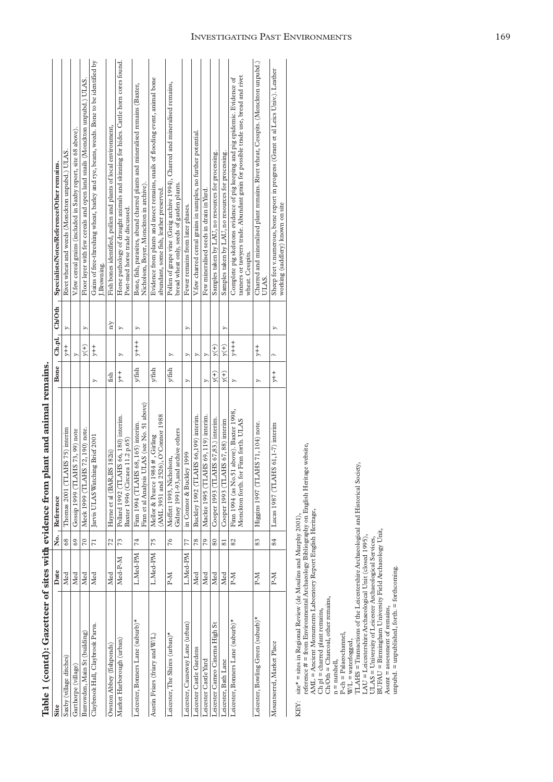|                                    |          |                 | Table 1 (contd): Gazetteer of sites with evidence from plant and animal remains.    |        |                          |                |                                                                                                                                                                                      |
|------------------------------------|----------|-----------------|-------------------------------------------------------------------------------------|--------|--------------------------|----------------|--------------------------------------------------------------------------------------------------------------------------------------------------------------------------------------|
| Site                               | Date     |                 | No. Reference                                                                       | Bone   |                          | Ch.pl., Ch/Oth | Specialists/Notes/Reference/Other remains.                                                                                                                                           |
| Saxby (village ditches)            | Med      | 68              | Thomas 2001 (TLAHS 75) interim                                                      |        | $+$                      | S              | Rivet wheat and weeds (Monckton unpubd.) ULAS.                                                                                                                                       |
| Garthorpe (village)                | Med      | 69              | Gossip 1999 (TLAHS 73, 99) note                                                     |        | Þ.                       |                | V.few cereal grains (included in Saxby report, site 68 above)                                                                                                                        |
| Barrowden, Main St (building)      | Med      | $\overline{C}$  | Meek 1999 (TLAHS 72, 190) note.                                                     |        | y(t)                     | ⋗              | Floor layer with few cereals and open land snails (Monckton unpubd.) ULAS.                                                                                                           |
| Claybrook Hall, Claybrook Parva.   | Med      | $\overline{71}$ | Jarvis ULAS Watching Brief 2001                                                     | ⋗      | $+$                      |                | Gains of free-threshing wheat, barley and rye, beans, weeds. Bone to be identified by<br>J.Browning.                                                                                 |
| Owston Abbey (fishponds)           | Med      | 72              | Hayne et al (BAR,BS 182ii)                                                          | fish   |                          | $\frac{N}{N}$  | Fish bones identified, pollen and plants of local environment,                                                                                                                       |
| Market Harborough (urban)          | Med-P-M  | 73              | Pollard 1992 (TLAHS 66, 180) interim.<br>Baxter 1996 (Circaea 11.2 p.65)            | $+$    | S                        | Z              | Horse pathology of draught animals and skinning for hides. Cattle horn cores found.<br>Post-med horse trade discussed.                                                               |
| Leicester, Bonners Lane (suburb)*  | L.Med-PM | 74              | Finn et al Analysis ULAS (see No. 51 above)<br>Finn 1994 (TLAHS 68, 165) interim.   | y/fish | $+$                      | ⋗              | Bone, fish, parasites, abund charred plants and mineralised remains (Baxter,<br>Nicholson, Boyer, Monckton in archive)                                                               |
| Austin Friars (friary and W/L)     | L.Med-PM | 75              | (AML 3931 and 2526), O'Connor 1988<br>Mellor & Pearce 1984 #, Girling               | y/fish |                          |                | Evidence from plants and insect remains, snails of flooding event, animal bone<br>abundant, some fish, leather preserved.                                                            |
| Leicester, The Shires (urban)*     | $N-A$    | 76              | Gidney 1991-93, and archive others<br>Moffett 1993, Nicholson,                      | y/fish | S                        |                | Pollen of grape vine (Greig archive 1994), Charred and mineralised remains,<br>bread wheat only, seeds of garden plants.                                                             |
| Leicester, Causeway Lane (urban)   | L.Med-PM | 77              | in Connor & Buckley 1999                                                            | Z      | Z                        | Z              | Fewer remains from later phases.                                                                                                                                                     |
| Leicester Castle Gardens           | Med      | 78              | Buckley 1992 (TLAHS 66,199) interim.                                                |        | ⋗                        |                | V.few charred cereal grains in samples, no further potential.                                                                                                                        |
| Leicester Castle Yard              | Med      | 79              | Mackie 1995 (TLAHS 69, 119) interim.                                                | Þ      | Þ                        |                | Few mineralised seeds in drain in Yard.                                                                                                                                              |
| Leicester Cameo Cinema High St     | Med      | 80              | HS 67,83.) interim.<br>Cooper 1993 (TLA)                                            | y(t)   | $\widetilde{v}(+)$       |                | Samples taken by LAU, no resources for processing.                                                                                                                                   |
| Leicester, Bath Lane               | Med      | $\overline{81}$ | Cooper 1993 (TLAHS 67, 88) interim                                                  | $V(+)$ | y(t)                     | ×              | Samples taken by LAU, no resources for processing.                                                                                                                                   |
| Leicester, Bonners Lane (suburb)*  | P-M      | 82              | Finn 1994 (as No.51 above). Baxter 1998,<br>Finn forth. ULAS<br>Monckton forth. for | Z      | $+$<br>$+$<br>$+$<br>$+$ |                | tanners or tawyers trade. Abundant grain for possible trade use, bread and rivet<br>Complete pig skeletons evidence of pig keeping and pig epidemic. Evidence of<br>wheat. Cesspits. |
| Leicester, Bowling Green (suburb)* | P-M      | 83              | Higgins 1997 (TLAHS 71, 104) note.                                                  | Z      | $+$                      |                | Charred and mineralised plant remains. Rivet wheat, Cesspits. (Monckton unpubd.)<br>ULAS.                                                                                            |
| Mountsorrel, Market Place          | $N-A$    | 84              | Lucas 1987 (TLAHS 61,1-7) interim                                                   | $+$    | $\mathfrak{a}$           |                | Sheep feet v.numerous, bone report in progress (Grant et al Leics Univ.). Leather<br>working (saddlery) known on site                                                                |

| <b><i><u>Alessa de Calder de Calder de Calder de Calder de Calder de Calder de Calder de Calder de Calder de Calder de Calder de Calder de Calder de Calder de Calder de Calder de Calder de Calder de Calder de Calder de Calder de</u></i></b> |
|--------------------------------------------------------------------------------------------------------------------------------------------------------------------------------------------------------------------------------------------------|
|                                                                                                                                                                                                                                                  |
| ı                                                                                                                                                                                                                                                |
| ١<br>֧ׅׅׅׅ֧֧֧֧֧֚֚֚֚֚֚֚֚֚֚֚֚֚֚֚֚֚֚֚֚֚֚֚֚֚֚֚֚֚֚֡֝֡֓֡֡֓֡֡֓֝֬֝֓֝֓֝֬                                                                                                                                                                                  |
| くろうく                                                                                                                                                                                                                                             |
|                                                                                                                                                                                                                                                  |
| )<br> <br>!<br>ŧ                                                                                                                                                                                                                                 |
|                                                                                                                                                                                                                                                  |
|                                                                                                                                                                                                                                                  |
|                                                                                                                                                                                                                                                  |
| I                                                                                                                                                                                                                                                |
| ı                                                                                                                                                                                                                                                |
| ĺ                                                                                                                                                                                                                                                |

KEY: site\* = sites in Regional Review (de Moulins and Murphy 2001), KEY:

I

 $\begin{array}{ll} \text{EFY:} & \text{site * = sites in Regional Review (de Moulins and Murphy 2001),} \\ & \text{reference * = from Environmental Archaeology Bibliography on English Heritage website}, \\ \text{AMI = Ancient Mounments Laboratory Report English Heritage}, \\ \text{Ch} \text{D1 = character (Harnot), other remains,} \\ & \text{n = Macional, other remains,} \\ \text{P-ch = Placotland, other remains,} \\ & \text{WII = waterlogged,} \\ & \text{WII = waterlogged,} \\ & \text{MII = Transacions of the Leicestershire Archaeological and Historical Society} \\ & \text{IMI = Lieestershire Archaeological Service}, \\ & \text{BUTAU = Lieestershire Archaeological Service}, \\ & \text{$ reference # = from Environmental Archaeology Bibliography on English Heritage website,

AML = Ancient Monuments Laboratory Report English Heritage,

 $Ch$   $pl$  =  $charred$  plant remains, Ch/Oth = Charcoal, other remains,

n = nutshell,

P-ch = Palaeochannel,

W/L = waterlogged,

TLAHS = Transactions of the Leicestershire Archaeological and Historical Society,

LAU = Leicestershire Archaeological Unit (closed 1995),

ULAS = University of Leicester Archaeological Services,

BUFAU = Birmingham University Field Archaeology Unit,

Assmt = assessment of remains,

unpubd. = unpublished, forth. = forthcoming.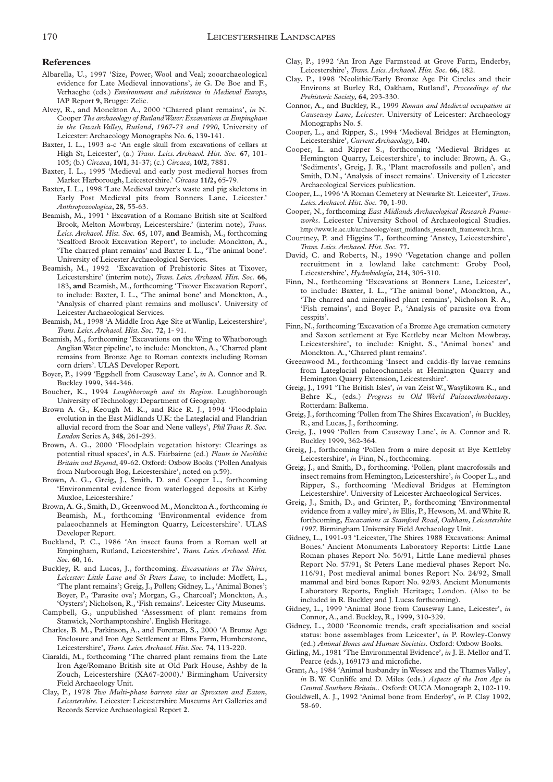#### **References**

- Albarella, U., 1997 'Size, Power, Wool and Veal; zooarchaeological evidence for Late Medieval innovations', *in* G. De Boe and F., Verhaeghe (eds.) *Environment and subsistence in Medieval Europe*, IAP Report **9**, Brugge: Zelic.
- Alvey, R., and Monckton A., 2000 'Charred plant remains', *in* N. Cooper *The archaeology of Rutland Water:Excavations at Empingham in the Gwash Valley, Rutland, 1967-73 and 1990*, University of Leicester: Archaeology Monographs No. **6**, 139-141.
- Baxter, I. L., 1993 a-c 'An eagle skull from excavations of cellars at High St, Leicester', (a.) *Trans. Leics. Archaeol. Hist. Soc.* **67**, 101- 105; (b.) *Circaea*, **10/1**, 31-37; (c.) *Circaea*, **10/2**, 7881.
- Baxter, I. L., 1995 'Medieval and early post medieval horses from Market Harborough, Leicestershire.' *Circaea* **11/2,** 65-79.
- Baxter, I. L., 1998 'Late Medieval tawyer's waste and pig skeletons in Early Post Medieval pits from Bonners Lane, Leicester.' *Anthropozoologica*, **28**, 55-63.
- Beamish, M., 1991 ' Excavation of a Romano British site at Scalford Brook, Melton Mowbray, Leicestershire.' (interim note), *Trans. Leics. Archaeol. Hist. Soc.* **65**, 107, **and** Beamish, M., forthcoming 'Scalford Brook Excavation Report', to include: Monckton, A., 'The charred plant remains' and Baxter I. L., 'The animal bone'. University of Leicester Archaeological Services.
- Beamish, M., 1992 'Excavation of Prehistoric Sites at Tixover, Leicestershire' (interim note), *Trans. Leics. Archaeol. Hist. Soc.* **66**, 183, **and** Beamish, M., forthcoming 'Tixover Excavation Report', to include: Baxter, I. L., 'The animal bone' and Monckton, A., 'Analysis of charred plant remains and molluscs'. University of Leicester Archaeological Services.
- Beamish, M., 1998 'A Middle Iron Age Site at Wanlip, Leicestershire', *Trans. Leics.Archaeol. Hist. Soc.* **72**, 1- 91.
- Beamish, M., forthcoming 'Excavations on the Wing to Whatborough Anglian Water pipeline', to include: Monckton, A., 'Charred plant remains from Bronze Age to Roman contexts including Roman corn driers'. ULAS Developer Report.
- Boyer, P., 1999 'Eggshell from Causeway Lane', *in* A. Connor and R. Buckley 1999, 344-346.
- Boucher, K., 1994 *Loughborough and its Region*. Loughborough University of Technology: Department of Geography.
- Brown A. G., Keough M. K., and Rice R. J., 1994 'Floodplain evolution in the East Midlands U.K: the Lateglacial and Flandrian alluvial record from the Soar and Nene valleys', *Phil Trans R. Soc. London* Series A, **348**, 261-293.
- Brown, A. G., 2000 'Floodplain vegetation history: Clearings as potential ritual spaces', in A.S. Fairbairne (ed.) *Plants in Neolithic Britain and Beyond*, 49-62. Oxford: Oxbow Books ('Pollen Analysis from Narborough Bog, Leicestershire', noted on p.59).
- Brown, A. G., Greig, J., Smith, D. and Cooper L., forthcoming 'Environmental evidence from waterlogged deposits at Kirby Muxloe, Leicestershire.'
- Brown, A. G., Smith, D., Greenwood M., Monckton A., forthcoming *in* Beamish, M., forthcoming 'Environmental evidence from palaeochannels at Hemington Quarry, Leicestershire'. ULAS Developer Report.
- Buckland, P. C., 1986 'An insect fauna from a Roman well at Empingham, Rutland, Leicestershire', *Trans. Leics. Archaeol. Hist. Soc.* **60**, 16.
- Buckley, R. and Lucas, J., forthcoming. *Excavations at The Shires, Leicester: Little Lane and St Peters Lane,* to include: Moffett, L., 'The plant remains'; Greig, J., Pollen; Gidney, L., 'Animal Bones'; Boyer, P., 'Parasite ova'; Morgan, G., Charcoal'; Monckton, A., 'Oysters'; Nicholson, R., 'Fish remains'. Leicester City Museums.
- Campbell, G., unpublished 'Assessment of plant remains from Stanwick, Northamptonshire'. English Heritage.
- Charles, B. M., Parkinson, A., and Foreman, S., 2000 'A Bronze Age Enclosure and Iron Age Settlement at Elms Farm, Humberstone, Leicestershire', *Trans. Leics.Archaeol. Hist. Soc.* **74**, 113-220.
- Ciaraldi, M., forthcoming 'The charred plant remains from the Late Iron Age/Romano British site at Old Park House, Ashby de la Zouch, Leicestershire (XA67-2000).' Birmingham University Field Archaeology Unit.
- Clay, P., 1978 *Two Multi-phase barrow sites at Sproxton and Eaton, Leicestershire.* Leicester: Leicestershire Museums Art Galleries and Records Service Archaeological Report **2**.
- Clay, P., 1992 'An Iron Age Farmstead at Grove Farm, Enderby, Leicestershire', *Trans. Leics.Archaeol. Hist. Soc.* **66**, 182.
- Clay, P., 1998 'Neolithic/Early Bronze Age Pit Circles and their Environs at Burley Rd, Oakham, Rutland', *Proceedings of the Prehistoric Society,* **64**, 293-330.
- Connor, A., and Buckley, R., 1999 *Roman and Medieval occupation at Causeway Lane, Leicester*. University of Leicester: Archaeology Monographs No. **5**.
- Cooper, L., and Ripper, S., 1994 'Medieval Bridges at Hemington, Leicestershire', *Current Archaeology*, **140.**
- Cooper, L. and Ripper S., forthcoming 'Medieval Bridges at Hemington Quarry, Leicestershire', to include: Brown, A. G., 'Sediments', Greig, J. R., 'Plant macrofossils and pollen', and Smith, D.N., 'Analysis of insect remains'. University of Leicester Archaeological Services publication.
- Cooper, L., 1996 'A Roman Cemetery at Newarke St. Leicester', *Trans. Leics.Archaeol. Hist. Soc.* **70**, 1-90.
- Cooper, N., forthcoming *East Midlands Archaeological Research Frameworks*. Leicester University School of Archaeological Studies. http://www.le.ac.uk/archaeology/east\_midlands\_research\_framework.htm.
- Courtney, P. and Higgins T., forthcoming 'Anstey, Leicestershire', *Trans. Leics.Archaeol. Hist. Soc.* **77.**
- David, C. and Roberts, N., 1990 'Vegetation change and pollen recruitment in a lowland lake catchment: Groby Pool, Leicestershire', *Hydrobiologia*, **214**, 305-310.
- Finn, N., forthcoming 'Excavations at Bonners Lane, Leicester', to include: Baxter, I. L., 'The animal bone', Monckton, A., 'The charred and mineralised plant remains', Nicholson R. A., 'Fish remains', and Boyer P., 'Analysis of parasite ova from cesspits'.
- Finn, N., forthcoming 'Excavation of a Bronze Age cremation cemetery and Saxon settlement at Eye Kettleby near Melton Mowbray, Leicestershire', to include: Knight, S., 'Animal bones' and Monckton. A., 'Charred plant remains'.
- Greenwood M., forthcoming 'Insect and caddis-fly larvae remains from Lateglacial palaeochannels at Hemington Quarry and Hemington Quarry Extension, Leicestershire'.
- Greig, J., 1991 'The British Isles', *in* van Zeist W., Wasylikowa K., and Behre K., (eds.) *Progress in Old World Palaeoethnobotany*. Rotterdam: Balkema.
- Greig, J., forthcoming 'Pollen from The Shires Excavation', *in* Buckley, R., and Lucas, J., forthcoming.
- Greig, J., 1999 'Pollen from Causeway Lane', *in* A. Connor and R. Buckley 1999, 362-364.
- Greig, J., forthcoming 'Pollen from a mire deposit at Eye Kettleby Leicestershire', *in* Finn, N., forthcoming.
- Greig, J., and Smith, D., forthcoming. 'Pollen, plant macrofossils and insect remains from Hemington, Leicestershire', *in* Cooper L., and Ripper, S., forthcoming 'Medieval Bridges at Hemington Leicestershire'. University of Leicester Archaeological Services.
- Greig, J., Smith, D., and Grinter, P., forthcoming 'Environmental evidence from a valley mire', *in* Ellis, P., Hewson, M. and White R. forthcoming, *Excavations at Stamford Road, Oakham, Leicestershire 1997*. Birmingham University Field Archaeology Unit.
- Gidney, L., 1991-93 'Leicester, The Shires 1988 Excavations: Animal Bones.' Ancient Monuments Laboratory Reports: Little Lane Roman phases Report No. 56/91, Little Lane medieval phases Report No. 57/91, St Peters Lane medieval phases Report No. 116/91, Post medieval animal bones Report No. 24/92, Small mammal and bird bones Report No. 92/93. Ancient Monuments Laboratory Reports, English Heritage; London. (Also to be included in R. Buckley and J. Lucas forthcoming).
- Gidney, L., 1999 'Animal Bone from Causeway Lane, Leicester', *in* Connor, A., and. Buckley, R., 1999, 310-329.
- Gidney, L., 2000 'Economic trends, craft specialisation and social status: bone assemblages from Leicester', *in* P. Rowley-Conwy (ed.) *Animal Bones and Human Societies*. Oxford: Oxbow Books.
- Girling, M., 1981 'The Environmental Evidence', *in* J. E. Mellor and T. Pearce (eds.), 169173 and microfiche.
- Grant, A., 1984 'Animal husbandry in Wessex and the Thames Valley', *in* B. W. Cunliffe and D. Miles (eds.) *Aspects of the Iron Age in Central Southern Britain..* Oxford: OUCA Monograph **2**, 102-119.
- Gouldwell, A. J., 1992 'Animal bone from Enderby', *in* P. Clay 1992, 58-69.